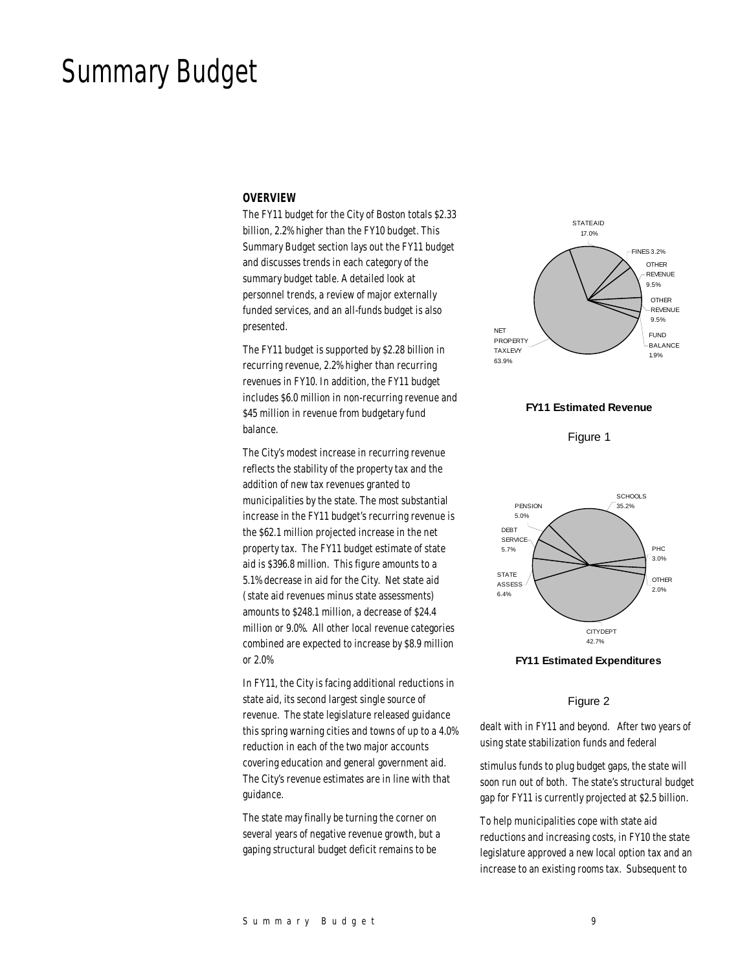# Summary Budget

#### *OVERVIEW*

The FY11 budget for the City of Boston totals \$2.33 billion, 2.2% higher than the FY10 budget. This Summary Budget section lays out the FY11 budget and discusses trends in each category of the summary budget table. A detailed look at personnel trends, a review of major externally funded services, and an all-funds budget is also presented.

The FY11 budget is supported by \$2.28 billion in recurring revenue, 2.2% higher than recurring revenues in FY10. In addition, the FY11 budget includes \$6.0 million in non-recurring revenue and \$45 million in revenue from budgetary fund balance.

The City's modest increase in recurring revenue reflects the stability of the property tax and the addition of new tax revenues granted to municipalities by the state. The most substantial increase in the FY11 budget's recurring revenue is the \$62.1 million projected increase in the net property tax. The FY11 budget estimate of state aid is \$396.8 million. This figure amounts to a 5.1% decrease in aid for the City. Net state aid (state aid revenues minus state assessments) amounts to \$248.1 million, a decrease of \$24.4 million or 9.0%. All other local revenue categories combined are expected to increase by \$8.9 million or 2.0%

In FY11, the City is facing additional reductions in state aid, its second largest single source of revenue. The state legislature released guidance this spring warning cities and towns of up to a 4.0% reduction in each of the two major accounts covering education and general government aid. The City's revenue estimates are in line with that guidance.

The state may finally be turning the corner on several years of negative revenue growth, but a gaping structural budget deficit remains to be



#### **FY11 Estimated Revenue**

Figure 1



**FY11 Estimated Expenditures**

#### Figure 2

dealt with in FY11 and beyond. After two years of using state stabilization funds and federal

stimulus funds to plug budget gaps, the state will soon run out of both. The state's structural budget gap for FY11 is currently projected at \$2.5 billion.

To help municipalities cope with state aid reductions and increasing costs, in FY10 the state legislature approved a new local option tax and an increase to an existing rooms tax. Subsequent to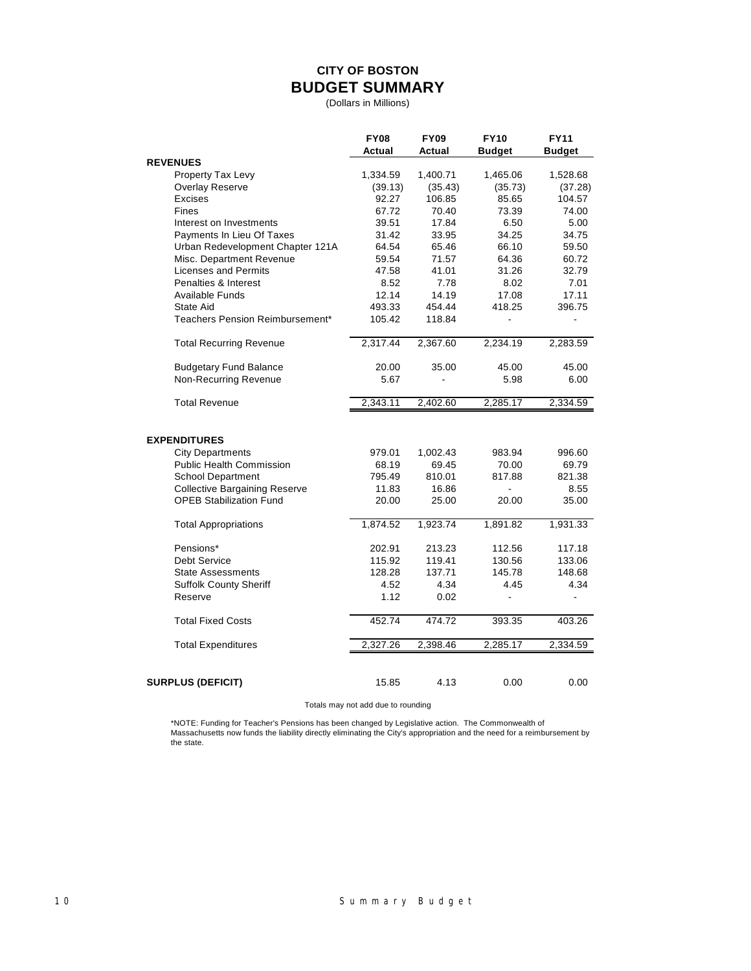## **CITY OF BOSTON BUDGET SUMMARY**

(Dollars in Millions)

|                                      | <b>FY08</b><br>Actual | <b>FY09</b><br>Actual | <b>FY10</b><br><b>Budget</b> | <b>FY11</b><br><b>Budget</b> |
|--------------------------------------|-----------------------|-----------------------|------------------------------|------------------------------|
| <b>REVENUES</b>                      |                       |                       |                              |                              |
| Property Tax Levy                    | 1,334.59              | 1,400.71              | 1,465.06                     | 1,528.68                     |
| Overlay Reserve                      | (39.13)               | (35.43)               | (35.73)                      | (37.28)                      |
| <b>Excises</b>                       | 92.27                 | 106.85                | 85.65                        | 104.57                       |
| <b>Fines</b>                         | 67.72                 | 70.40                 | 73.39                        | 74.00                        |
| Interest on Investments              | 39.51                 | 17.84                 | 6.50                         | 5.00                         |
| Payments In Lieu Of Taxes            | 31.42                 | 33.95                 | 34.25                        | 34.75                        |
| Urban Redevelopment Chapter 121A     | 64.54                 | 65.46                 | 66.10                        | 59.50                        |
| Misc. Department Revenue             | 59.54                 | 71.57                 | 64.36                        | 60.72                        |
| <b>Licenses and Permits</b>          | 47.58                 | 41.01                 | 31.26                        | 32.79                        |
| Penalties & Interest                 | 8.52                  | 7.78                  | 8.02                         | 7.01                         |
| <b>Available Funds</b>               | 12.14                 | 14.19                 | 17.08                        | 17.11                        |
| State Aid                            | 493.33                | 454.44                | 418.25                       | 396.75                       |
| Teachers Pension Reimbursement*      | 105.42                | 118.84                |                              |                              |
| <b>Total Recurring Revenue</b>       | 2,317.44              | 2,367.60              | 2,234.19                     | 2,283.59                     |
| <b>Budgetary Fund Balance</b>        | 20.00                 | 35.00                 | 45.00                        | 45.00                        |
| Non-Recurring Revenue                | 5.67                  |                       | 5.98                         | 6.00                         |
| <b>Total Revenue</b>                 | 2,343.11              | 2,402.60              | 2,285.17                     | 2,334.59                     |
| <b>EXPENDITURES</b>                  |                       |                       |                              |                              |
| <b>City Departments</b>              | 979.01                | 1,002.43              | 983.94                       | 996.60                       |
| Public Health Commission             | 68.19                 | 69.45                 | 70.00                        | 69.79                        |
| <b>School Department</b>             | 795.49                | 810.01                | 817.88                       | 821.38                       |
| <b>Collective Bargaining Reserve</b> | 11.83                 | 16.86                 | $\overline{\phantom{a}}$     | 8.55                         |
| <b>OPEB Stabilization Fund</b>       | 20.00                 | 25.00                 | 20.00                        | 35.00                        |
| <b>Total Appropriations</b>          | 1,874.52              | 1,923.74              | 1,891.82                     | 1,931.33                     |
| Pensions*                            | 202.91                | 213.23                | 112.56                       | 117.18                       |
| Debt Service                         | 115.92                | 119.41                | 130.56                       | 133.06                       |
| <b>State Assessments</b>             | 128.28                | 137.71                | 145.78                       | 148.68                       |
| <b>Suffolk County Sheriff</b>        | 4.52                  | 4.34                  | 4.45                         | 4.34                         |
| Reserve                              | 1.12                  | 0.02                  | ÷.                           |                              |
| <b>Total Fixed Costs</b>             | 452.74                | 474.72                | 393.35                       | 403.26                       |
| <b>Total Expenditures</b>            | 2,327.26              | 2,398.46              | 2,285.17                     | 2,334.59                     |
| <b>SURPLUS (DEFICIT)</b>             | 15.85                 | 4.13                  | 0.00                         | 0.00                         |

Totals may not add due to rounding

\*NOTE: Funding for Teacher's Pensions has been changed by Legislative action. The Commonwealth of Massachusetts now funds the liability directly eliminating the City's appropriation and the need for a reimbursement by the state.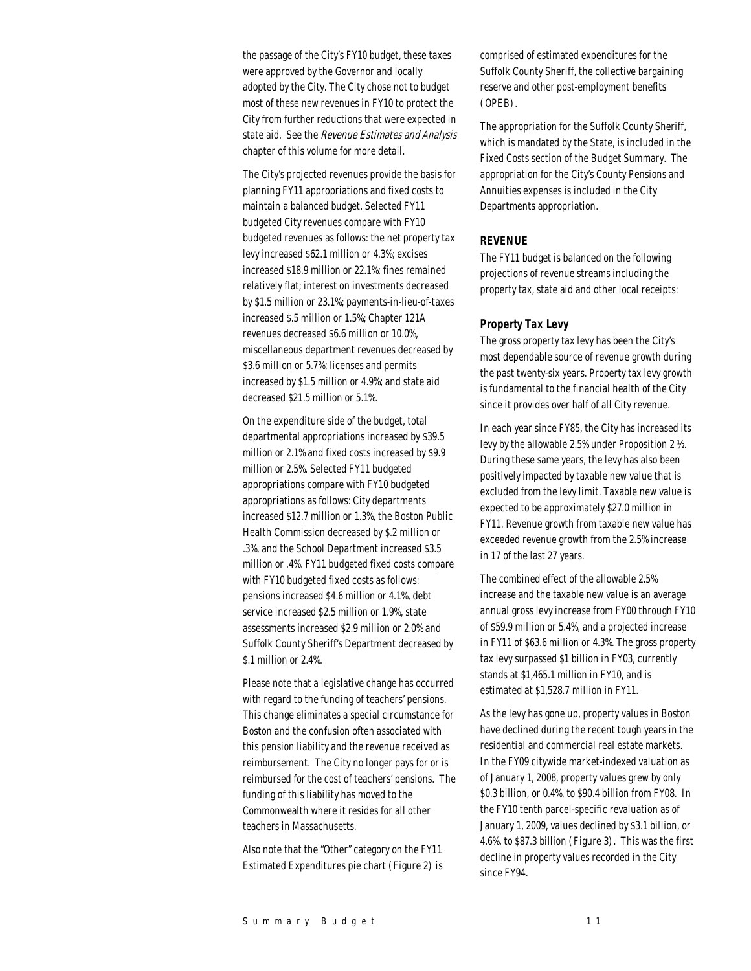the passage of the City's FY10 budget, these taxes were approved by the Governor and locally adopted by the City. The City chose not to budget most of these new revenues in FY10 to protect the City from further reductions that were expected in state aid. See the Revenue Estimates and Analysis chapter of this volume for more detail.

The City's projected revenues provide the basis for planning FY11 appropriations and fixed costs to maintain a balanced budget. Selected FY11 budgeted City revenues compare with FY10 budgeted revenues as follows: the net property tax levy increased \$62.1 million or 4.3%; excises increased \$18.9 million or 22.1%; fines remained relatively flat; interest on investments decreased by \$1.5 million or 23.1%; payments-in-lieu-of-taxes increased \$.5 million or 1.5%; Chapter 121A revenues decreased \$6.6 million or 10.0%, miscellaneous department revenues decreased by \$3.6 million or 5.7%; licenses and permits increased by \$1.5 million or 4.9%; and state aid decreased \$21.5 million or 5.1%.

On the expenditure side of the budget, total departmental appropriations increased by \$39.5 million or 2.1% and fixed costs increased by \$9.9 million or 2.5%. Selected FY11 budgeted appropriations compare with FY10 budgeted appropriations as follows: City departments increased \$12.7 million or 1.3%, the Boston Public Health Commission decreased by \$.2 million or .3%, and the School Department increased \$3.5 million or .4%. FY11 budgeted fixed costs compare with FY10 budgeted fixed costs as follows: pensions increased \$4.6 million or 4.1%, debt service increased \$2.5 million or 1.9%, state assessments increased \$2.9 million or 2.0% and Suffolk County Sheriff's Department decreased by \$.1 million or 2.4%.

Please note that a legislative change has occurred with regard to the funding of teachers' pensions. This change eliminates a special circumstance for Boston and the confusion often associated with this pension liability and the revenue received as reimbursement. The City no longer pays for or is reimbursed for the cost of teachers' pensions. The funding of this liability has moved to the Commonwealth where it resides for all other teachers in Massachusetts.

Also note that the "Other" category on the FY11 Estimated Expenditures pie chart (Figure 2) is comprised of estimated expenditures for the Suffolk County Sheriff, the collective bargaining reserve and other post-employment benefits (OPEB).

The appropriation for the Suffolk County Sheriff, which is mandated by the State, is included in the Fixed Costs section of the Budget Summary. The appropriation for the City's County Pensions and Annuities expenses is included in the City Departments appropriation.

## *REVENUE*

The FY11 budget is balanced on the following projections of revenue streams including the property tax, state aid and other local receipts:

## *Property Tax Levy*

The gross property tax levy has been the City's most dependable source of revenue growth during the past twenty-six years. Property tax levy growth is fundamental to the financial health of the City since it provides over half of all City revenue.

In each year since FY85, the City has increased its levy by the allowable 2.5% under Proposition 2 ½. During these same years, the levy has also been positively impacted by taxable new value that is excluded from the levy limit. Taxable new value is expected to be approximately \$27.0 million in FY11. Revenue growth from taxable new value has exceeded revenue growth from the 2.5% increase in 17 of the last 27 years.

The combined effect of the allowable 2.5% increase and the taxable new value is an average annual gross levy increase from FY00 through FY10 of \$59.9 million or 5.4%, and a projected increase in FY11 of \$63.6 million or 4.3%. The gross property tax levy surpassed \$1 billion in FY03, currently stands at \$1,465.1 million in FY10, and is estimated at \$1,528.7 million in FY11.

As the levy has gone up, property values in Boston have declined during the recent tough years in the residential and commercial real estate markets. In the FY09 citywide market-indexed valuation as of January 1, 2008, property values grew by only \$0.3 billion, or 0.4%, to \$90.4 billion from FY08. In the FY10 tenth parcel-specific revaluation as of January 1, 2009, values declined by \$3.1 billion, or 4.6%, to \$87.3 billion (Figure 3). This was the first decline in property values recorded in the City since FY94.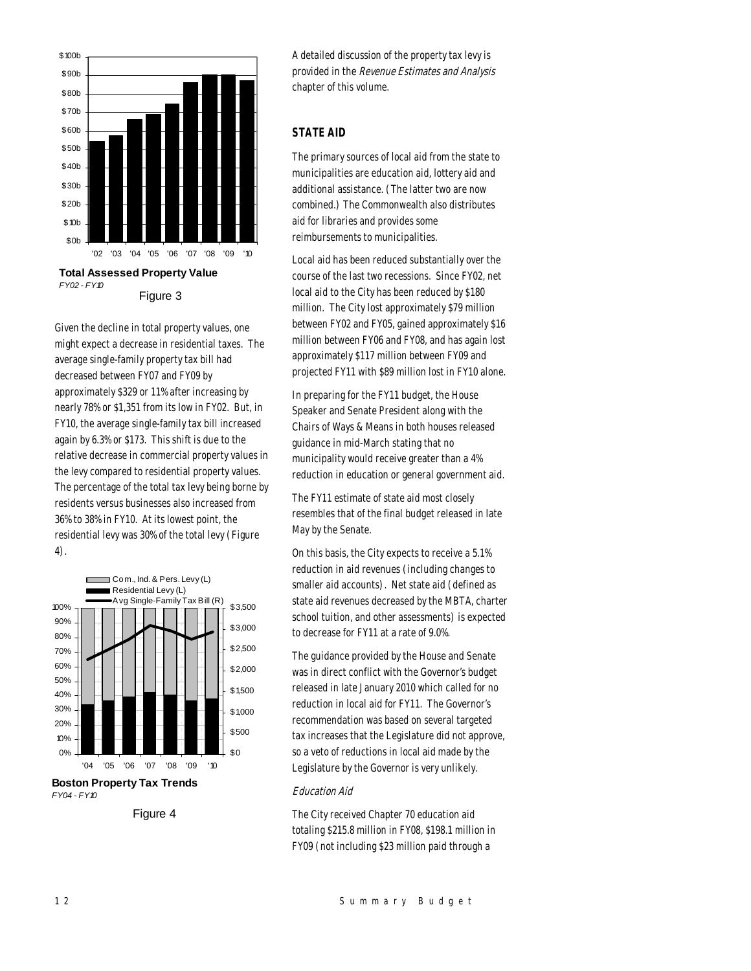

Given the decline in total property values, one might expect a decrease in residential taxes. The average single-family property tax bill had decreased between FY07 and FY09 by approximately \$329 or 11% after increasing by nearly 78% or \$1,351 from its low in FY02. But, in FY10, the average single-family tax bill increased again by 6.3% or \$173. This shift is due to the relative decrease in commercial property values in the levy compared to residential property values. The percentage of the total tax levy being borne by residents versus businesses also increased from 36% to 38% in FY10. At its lowest point, the residential levy was 30% of the total levy (Figure 4).



**Boston Property Tax Trends** *FY04 - FY10*

Figure 4

A detailed discussion of the property tax levy is provided in the Revenue Estimates and Analysis chapter of this volume.

## *STATE AID*

The primary sources of local aid from the state to municipalities are education aid, lottery aid and additional assistance. (The latter two are now combined.) The Commonwealth also distributes aid for libraries and provides some reimbursements to municipalities.

Local aid has been reduced substantially over the course of the last two recessions. Since FY02, net local aid to the City has been reduced by \$180 million. The City lost approximately \$79 million between FY02 and FY05, gained approximately \$16 million between FY06 and FY08, and has again lost approximately \$117 million between FY09 and projected FY11 with \$89 million lost in FY10 alone.

In preparing for the FY11 budget, the House Speaker and Senate President along with the Chairs of Ways & Means in both houses released guidance in mid-March stating that no municipality would receive greater than a 4% reduction in education or general government aid.

The FY11 estimate of state aid most closely resembles that of the final budget released in late May by the Senate.

On this basis, the City expects to receive a 5.1% reduction in aid revenues (including changes to smaller aid accounts). Net state aid (defined as state aid revenues decreased by the MBTA, charter school tuition, and other assessments) is expected to decrease for FY11 at a rate of 9.0%.

The guidance provided by the House and Senate was in direct conflict with the Governor's budget released in late January 2010 which called for no reduction in local aid for FY11. The Governor's recommendation was based on several targeted tax increases that the Legislature did not approve, so a veto of reductions in local aid made by the Legislature by the Governor is very unlikely.

#### Education Aid

The City received Chapter 70 education aid totaling \$215.8 million in FY08, \$198.1 million in FY09 (not including \$23 million paid through a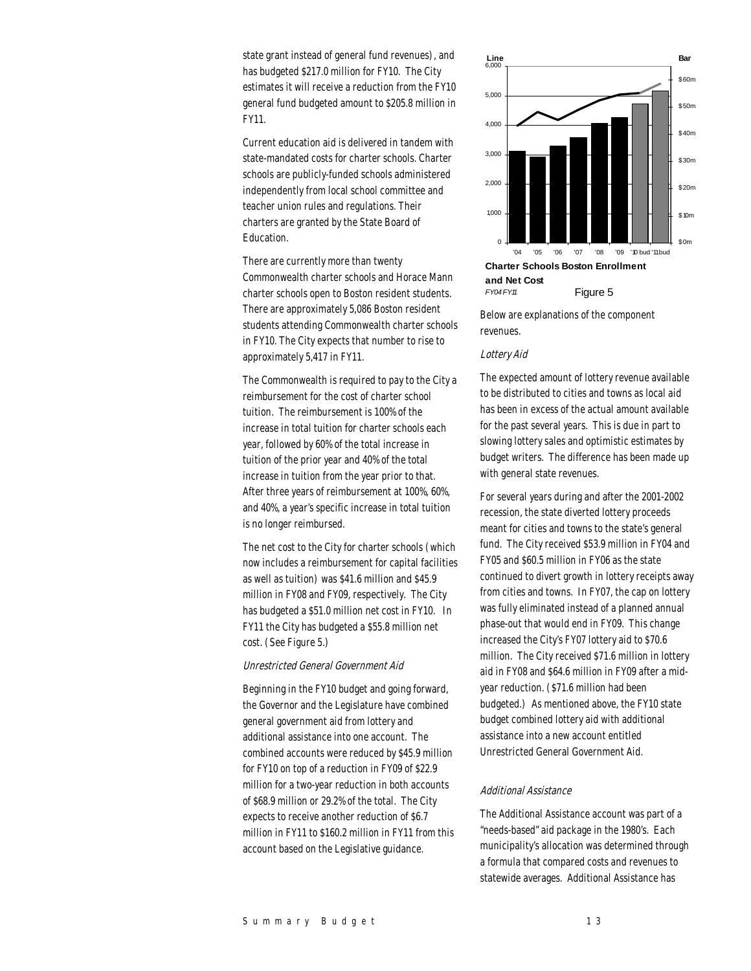state grant instead of general fund revenues), and has budgeted \$217.0 million for FY10. The City estimates it will receive a reduction from the FY10 general fund budgeted amount to \$205.8 million in FY11.

Current education aid is delivered in tandem with state-mandated costs for charter schools. Charter schools are publicly-funded schools administered independently from local school committee and teacher union rules and regulations. Their charters are granted by the State Board of Education.

There are currently more than twenty Commonwealth charter schools and Horace Mann charter schools open to Boston resident students. There are approximately 5,086 Boston resident students attending Commonwealth charter schools in FY10. The City expects that number to rise to approximately 5,417 in FY11.

The Commonwealth is required to pay to the City a reimbursement for the cost of charter school tuition. The reimbursement is 100% of the increase in total tuition for charter schools each year, followed by 60% of the total increase in tuition of the prior year and 40% of the total increase in tuition from the year prior to that. After three years of reimbursement at 100%, 60%, and 40%, a year's specific increase in total tuition is no longer reimbursed.

The net cost to the City for charter schools (which now includes a reimbursement for capital facilities as well as tuition) was \$41.6 million and \$45.9 million in FY08 and FY09, respectively. The City has budgeted a \$51.0 million net cost in FY10. In FY11 the City has budgeted a \$55.8 million net cost. (See Figure 5.)

#### Unrestricted General Government Aid

Beginning in the FY10 budget and going forward, the Governor and the Legislature have combined general government aid from lottery and additional assistance into one account. The combined accounts were reduced by \$45.9 million for FY10 on top of a reduction in FY09 of \$22.9 million for a two-year reduction in both accounts of \$68.9 million or 29.2% of the total. The City expects to receive another reduction of \$6.7 million in FY11 to \$160.2 million in FY11 from this account based on the Legislative guidance.



Below are explanations of the component revenues.

#### Lottery Aid

The expected amount of lottery revenue available to be distributed to cities and towns as local aid has been in excess of the actual amount available for the past several years. This is due in part to slowing lottery sales and optimistic estimates by budget writers. The difference has been made up with general state revenues.

For several years during and after the 2001-2002 recession, the state diverted lottery proceeds meant for cities and towns to the state's general fund. The City received \$53.9 million in FY04 and FY05 and \$60.5 million in FY06 as the state continued to divert growth in lottery receipts away from cities and towns. In FY07, the cap on lottery was fully eliminated instead of a planned annual phase-out that would end in FY09. This change increased the City's FY07 lottery aid to \$70.6 million. The City received \$71.6 million in lottery aid in FY08 and \$64.6 million in FY09 after a midyear reduction. (\$71.6 million had been budgeted.) As mentioned above, the FY10 state budget combined lottery aid with additional assistance into a new account entitled Unrestricted General Government Aid.

## Additional Assistance

The Additional Assistance account was part of a "needs-based" aid package in the 1980's. Each municipality's allocation was determined through a formula that compared costs and revenues to statewide averages. Additional Assistance has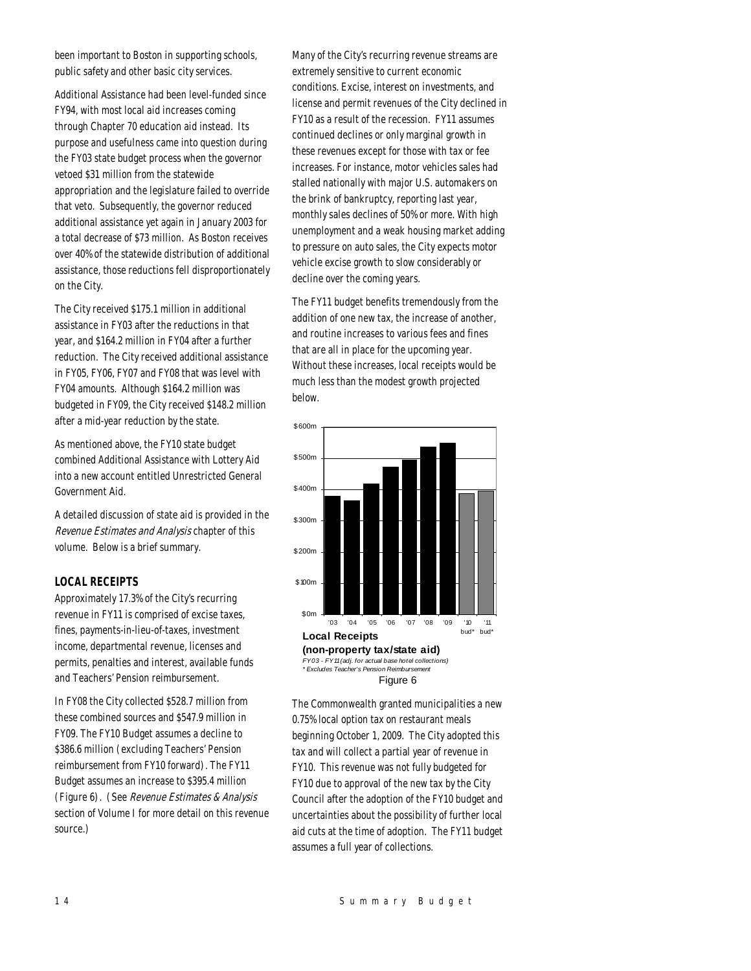been important to Boston in supporting schools, public safety and other basic city services.

Additional Assistance had been level-funded since FY94, with most local aid increases coming through Chapter 70 education aid instead. Its purpose and usefulness came into question during the FY03 state budget process when the governor vetoed \$31 million from the statewide appropriation and the legislature failed to override that veto. Subsequently, the governor reduced additional assistance yet again in January 2003 for a total decrease of \$73 million. As Boston receives over 40% of the statewide distribution of additional assistance, those reductions fell disproportionately on the City.

The City received \$175.1 million in additional assistance in FY03 after the reductions in that year, and \$164.2 million in FY04 after a further reduction. The City received additional assistance in FY05, FY06, FY07 and FY08 that was level with FY04 amounts. Although \$164.2 million was budgeted in FY09, the City received \$148.2 million after a mid-year reduction by the state.

As mentioned above, the FY10 state budget combined Additional Assistance with Lottery Aid into a new account entitled Unrestricted General Government Aid.

A detailed discussion of state aid is provided in the Revenue Estimates and Analysis chapter of this volume. Below is a brief summary.

## *LOCAL RECEIPTS*

Approximately 17.3% of the City's recurring revenue in FY11 is comprised of excise taxes, fines, payments-in-lieu-of-taxes, investment income, departmental revenue, licenses and permits, penalties and interest, available funds and Teachers' Pension reimbursement.

In FY08 the City collected \$528.7 million from these combined sources and \$547.9 million in FY09. The FY10 Budget assumes a decline to \$386.6 million (excluding Teachers' Pension reimbursement from FY10 forward). The FY11 Budget assumes an increase to \$395.4 million (Figure 6). (See Revenue Estimates & Analysis section of Volume I for more detail on this revenue source.)

Many of the City's recurring revenue streams are extremely sensitive to current economic conditions. Excise, interest on investments, and license and permit revenues of the City declined in FY10 as a result of the recession. FY11 assumes continued declines or only marginal growth in these revenues except for those with tax or fee increases. For instance, motor vehicles sales had stalled nationally with major U.S. automakers on the brink of bankruptcy, reporting last year, monthly sales declines of 50% or more. With high unemployment and a weak housing market adding to pressure on auto sales, the City expects motor vehicle excise growth to slow considerably or decline over the coming years.

The FY11 budget benefits tremendously from the addition of one new tax, the increase of another, and routine increases to various fees and fines that are all in place for the upcoming year. Without these increases, local receipts would be much less than the modest growth projected below.



The Commonwealth granted municipalities a new 0.75% local option tax on restaurant meals beginning October 1, 2009. The City adopted this tax and will collect a partial year of revenue in FY10. This revenue was not fully budgeted for FY10 due to approval of the new tax by the City Council after the adoption of the FY10 budget and uncertainties about the possibility of further local aid cuts at the time of adoption. The FY11 budget assumes a full year of collections.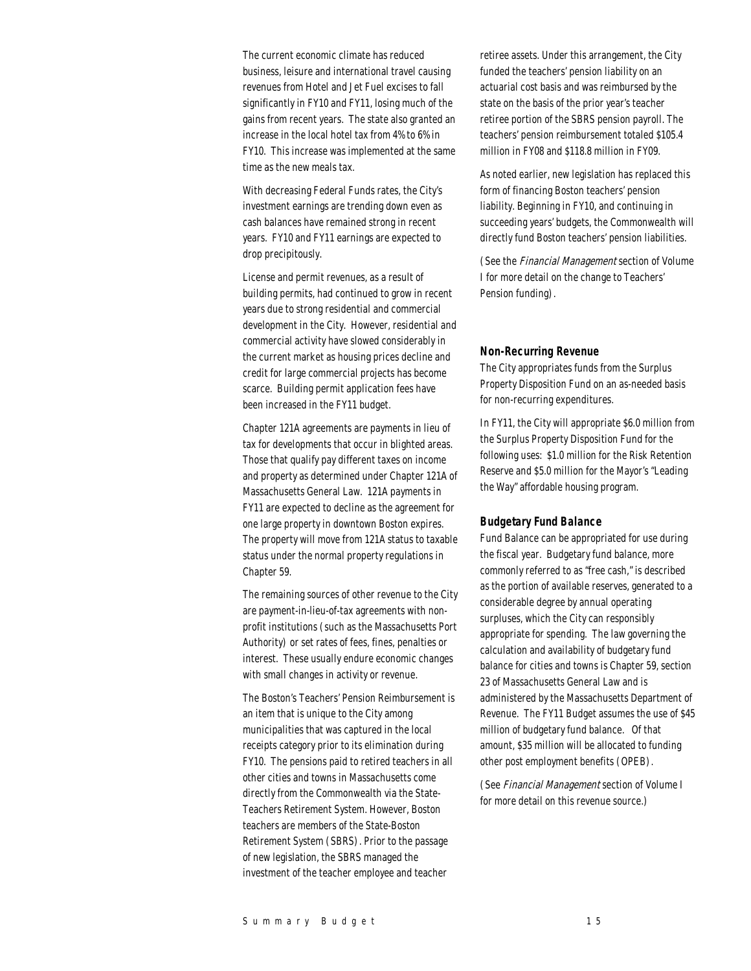The current economic climate has reduced business, leisure and international travel causing revenues from Hotel and Jet Fuel excises to fall significantly in FY10 and FY11, losing much of the gains from recent years. The state also granted an increase in the local hotel tax from 4% to 6% in FY10. This increase was implemented at the same time as the new meals tax.

With decreasing Federal Funds rates, the City's investment earnings are trending down even as cash balances have remained strong in recent years. FY10 and FY11 earnings are expected to drop precipitously.

License and permit revenues, as a result of building permits, had continued to grow in recent years due to strong residential and commercial development in the City. However, residential and commercial activity have slowed considerably in the current market as housing prices decline and credit for large commercial projects has become scarce. Building permit application fees have been increased in the FY11 budget.

Chapter 121A agreements are payments in lieu of tax for developments that occur in blighted areas. Those that qualify pay different taxes on income and property as determined under Chapter 121A of Massachusetts General Law. 121A payments in FY11 are expected to decline as the agreement for one large property in downtown Boston expires. The property will move from 121A status to taxable status under the normal property regulations in Chapter 59.

The remaining sources of other revenue to the City are payment-in-lieu-of-tax agreements with nonprofit institutions (such as the Massachusetts Port Authority) or set rates of fees, fines, penalties or interest. These usually endure economic changes with small changes in activity or revenue.

The Boston's Teachers' Pension Reimbursement is an item that is unique to the City among municipalities that was captured in the local receipts category prior to its elimination during FY10. The pensions paid to retired teachers in all other cities and towns in Massachusetts come directly from the Commonwealth via the State-Teachers Retirement System. However, Boston teachers are members of the State-Boston Retirement System (SBRS). Prior to the passage of new legislation, the SBRS managed the investment of the teacher employee and teacher

retiree assets. Under this arrangement, the City funded the teachers' pension liability on an actuarial cost basis and was reimbursed by the state on the basis of the prior year's teacher retiree portion of the SBRS pension payroll. The teachers' pension reimbursement totaled \$105.4 million in FY08 and \$118.8 million in FY09.

As noted earlier, new legislation has replaced this form of financing Boston teachers' pension liability. Beginning in FY10, and continuing in succeeding years' budgets, the Commonwealth will directly fund Boston teachers' pension liabilities.

(See the Financial Management section of Volume I for more detail on the change to Teachers' Pension funding).

#### *Non-Recurring Revenue*

The City appropriates funds from the Surplus Property Disposition Fund on an as-needed basis for non-recurring expenditures.

In FY11, the City will appropriate \$6.0 million from the Surplus Property Disposition Fund for the following uses: \$1.0 million for the Risk Retention Reserve and \$5.0 million for the Mayor's "Leading the Way" affordable housing program.

## *Budgetary Fund Balance*

Fund Balance can be appropriated for use during the fiscal year. Budgetary fund balance, more commonly referred to as "free cash," is described as the portion of available reserves, generated to a considerable degree by annual operating surpluses, which the City can responsibly appropriate for spending. The law governing the calculation and availability of budgetary fund balance for cities and towns is Chapter 59, section 23 of Massachusetts General Law and is administered by the Massachusetts Department of Revenue. The FY11 Budget assumes the use of \$45 million of budgetary fund balance. Of that amount, \$35 million will be allocated to funding other post employment benefits (OPEB).

(See Financial Management section of Volume I for more detail on this revenue source.)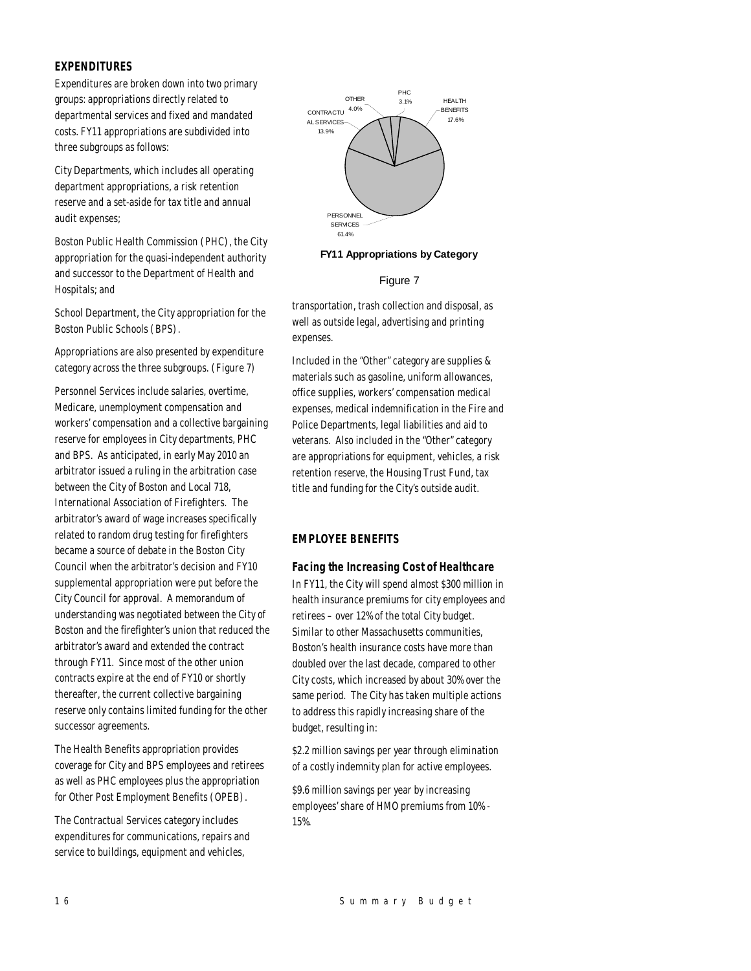## *EXPENDITURES*

Expenditures are broken down into two primary groups: appropriations directly related to departmental services and fixed and mandated costs. FY11 appropriations are subdivided into three subgroups as follows:

City Departments, which includes all operating department appropriations, a risk retention reserve and a set-aside for tax title and annual audit expenses;

Boston Public Health Commission (PHC), the City appropriation for the quasi-independent authority and successor to the Department of Health and Hospitals; and

School Department, the City appropriation for the Boston Public Schools (BPS).

Appropriations are also presented by expenditure category across the three subgroups. (Figure 7)

Personnel Services include salaries, overtime, Medicare, unemployment compensation and workers' compensation and a collective bargaining reserve for employees in City departments, PHC and BPS. As anticipated, in early May 2010 an arbitrator issued a ruling in the arbitration case between the City of Boston and Local 718, International Association of Firefighters. The arbitrator's award of wage increases specifically related to random drug testing for firefighters became a source of debate in the Boston City Council when the arbitrator's decision and FY10 supplemental appropriation were put before the City Council for approval. A memorandum of understanding was negotiated between the City of Boston and the firefighter's union that reduced the arbitrator's award and extended the contract through FY11. Since most of the other union contracts expire at the end of FY10 or shortly thereafter, the current collective bargaining reserve only contains limited funding for the other successor agreements.

The Health Benefits appropriation provides coverage for City and BPS employees and retirees as well as PHC employees plus the appropriation for Other Post Employment Benefits (OPEB).

The Contractual Services category includes expenditures for communications, repairs and service to buildings, equipment and vehicles,



#### Figure 7

transportation, trash collection and disposal, as well as outside legal, advertising and printing expenses.

Included in the "Other" category are supplies & materials such as gasoline, uniform allowances, office supplies, workers' compensation medical expenses, medical indemnification in the Fire and Police Departments, legal liabilities and aid to veterans. Also included in the "Other" category are appropriations for equipment, vehicles, a risk retention reserve, the Housing Trust Fund, tax title and funding for the City's outside audit.

## *EMPLOYEE BENEFITS*

## *Facing the Increasing Cost of Healthcare*

In FY11, the City will spend almost \$300 million in health insurance premiums for city employees and retirees – over 12% of the total City budget. Similar to other Massachusetts communities, Boston's health insurance costs have more than doubled over the last decade, compared to other City costs, which increased by about 30% over the same period. The City has taken multiple actions to address this rapidly increasing share of the budget, resulting in:

\$2.2 million savings per year through elimination of a costly indemnity plan for active employees.

\$9.6 million savings per year by increasing employees' share of HMO premiums from 10% - 15%.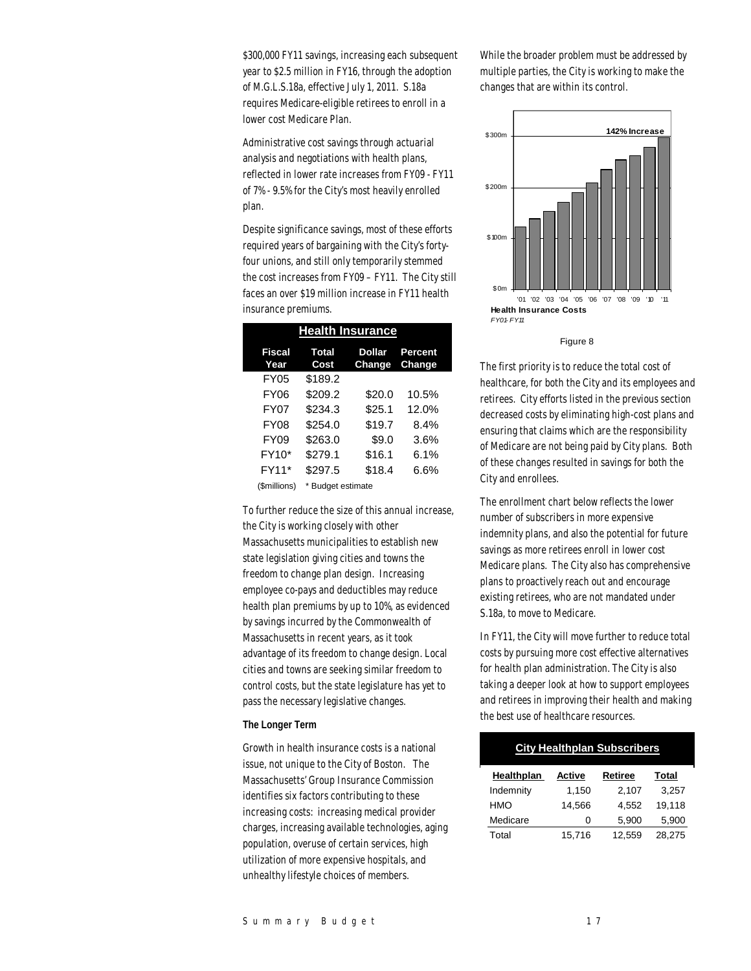\$300,000 FY11 savings, increasing each subsequent year to \$2.5 million in FY16, through the adoption of M.G.L.S.18a, effective July 1, 2011. S.18a requires Medicare-eligible retirees to enroll in a lower cost Medicare Plan.

Administrative cost savings through actuarial analysis and negotiations with health plans, reflected in lower rate increases from FY09 - FY11 of 7% - 9.5% for the City's most heavily enrolled plan.

Despite significance savings, most of these efforts required years of bargaining with the City's fortyfour unions, and still only temporarily stemmed the cost increases from FY09 – FY11. The City still faces an over \$19 million increase in FY11 health insurance premiums.

| <b>Health Insurance</b> |                      |                         |                   |  |  |  |  |
|-------------------------|----------------------|-------------------------|-------------------|--|--|--|--|
| <b>Fiscal</b><br>Year   | <b>Total</b><br>Cost | <b>Dollar</b><br>Change | Percent<br>Change |  |  |  |  |
| <b>FY05</b>             | \$189.2              |                         |                   |  |  |  |  |
| <b>FY06</b>             | \$209.2              | \$20.0                  | 10.5%             |  |  |  |  |
| <b>FY07</b>             | \$234.3              | \$25.1                  | 12.0%             |  |  |  |  |
| <b>FY08</b>             | \$254.0              | \$19.7                  | 8.4%              |  |  |  |  |
| <b>FY09</b>             | \$263.0              | \$9.0                   | 3.6%              |  |  |  |  |
| FY10*                   | \$279.1              | \$16.1                  | 6.1%              |  |  |  |  |
| FY11*                   | \$297.5              | \$18.4                  | 6.6%              |  |  |  |  |
| (\$millions)            | * Budget estimate    |                         |                   |  |  |  |  |

To further reduce the size of this annual increase, the City is working closely with other Massachusetts municipalities to establish new state legislation giving cities and towns the freedom to change plan design. Increasing employee co-pays and deductibles may reduce health plan premiums by up to 10%, as evidenced by savings incurred by the Commonwealth of Massachusetts in recent years, as it took advantage of its freedom to change design. Local cities and towns are seeking similar freedom to control costs, but the state legislature has yet to pass the necessary legislative changes.

#### **The Longer Term**

Growth in health insurance costs is a national issue, not unique to the City of Boston. The Massachusetts' Group Insurance Commission identifies six factors contributing to these increasing costs: increasing medical provider charges, increasing available technologies, aging population, overuse of certain services, high utilization of more expensive hospitals, and unhealthy lifestyle choices of members.

While the broader problem must be addressed by multiple parties, the City is working to make the changes that are within its control.



Figure 8

The first priority is to reduce the total cost of healthcare, for both the City and its employees and retirees. City efforts listed in the previous section decreased costs by eliminating high-cost plans and ensuring that claims which are the responsibility of Medicare are not being paid by City plans. Both of these changes resulted in savings for both the City and enrollees.

The enrollment chart below reflects the lower number of subscribers in more expensive indemnity plans, and also the potential for future savings as more retirees enroll in lower cost Medicare plans. The City also has comprehensive plans to proactively reach out and encourage existing retirees, who are not mandated under S.18a, to move to Medicare.

In FY11, the City will move further to reduce total costs by pursuing more cost effective alternatives for health plan administration. The City is also taking a deeper look at how to support employees and retirees in improving their health and making the best use of healthcare resources.

| <b>City Healthplan Subscribers</b> |               |         |        |  |  |  |  |
|------------------------------------|---------------|---------|--------|--|--|--|--|
| Healthplan                         | <b>Active</b> | Retiree | Total  |  |  |  |  |
| Indemnity                          | 1.150         | 2.107   | 3.257  |  |  |  |  |
| <b>HMO</b>                         | 14.566        | 4.552   | 19,118 |  |  |  |  |
| Medicare                           |               | 5,900   | 5,900  |  |  |  |  |
| Total                              | 15.716        | 12.559  | 28.275 |  |  |  |  |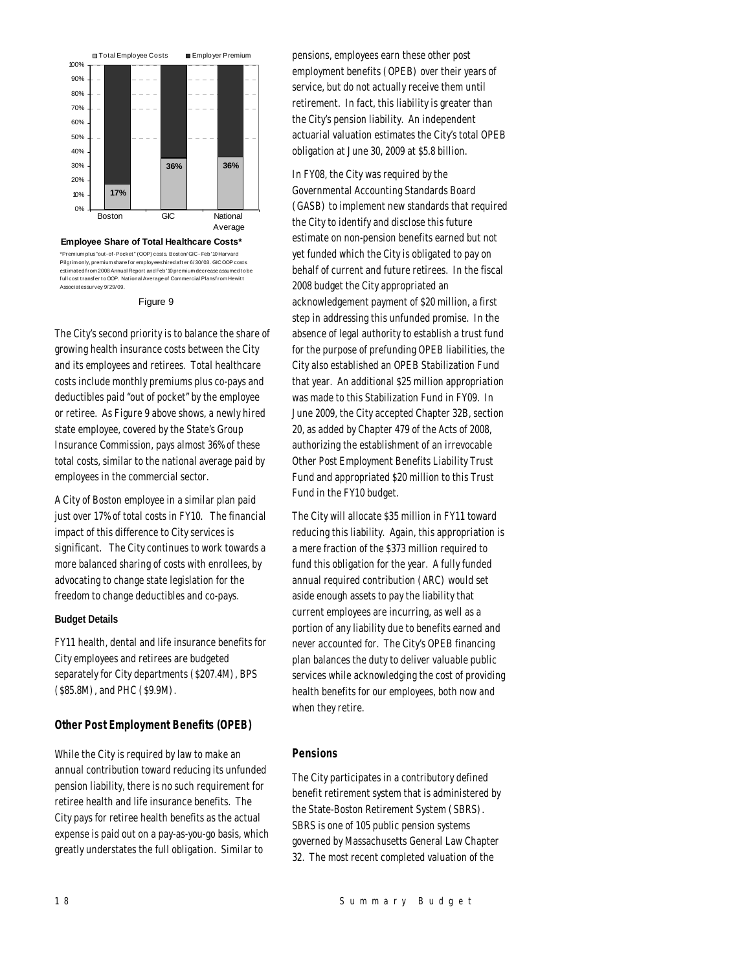

\*Premium plus "out -of -Pocket " (OOP) cost s. Bost on/ GIC - Feb '10 Harvard Pilgrim only, premium share f or employees hired af t er 6/ 30/ 03. GIC OOP cost s est imat ed f rom 2008 Annual Report and Feb '10 premium decrease assumed t o be full cost transfer to OOP. National Average of Commercial Plans from Hewitt Associat es survey 9/ 29/ 09. **Employee Share of Total Healthcare Costs\***

Figure 9

The City's second priority is to balance the share of growing health insurance costs between the City and its employees and retirees. Total healthcare costs include monthly premiums plus co-pays and deductibles paid "out of pocket" by the employee or retiree. As Figure 9 above shows, a newly hired state employee, covered by the State's Group Insurance Commission, pays almost 36% of these total costs, similar to the national average paid by employees in the commercial sector.

A City of Boston employee in a similar plan paid just over 17% of total costs in FY10. The financial impact of this difference to City services is significant. The City continues to work towards a more balanced sharing of costs with enrollees, by advocating to change state legislation for the freedom to change deductibles and co-pays.

#### **Budget Details**

FY11 health, dental and life insurance benefits for City employees and retirees are budgeted separately for City departments (\$207.4M), BPS (\$85.8M), and PHC (\$9.9M).

#### *Other Post Employment Benefits (OPEB)*

While the City is required by law to make an annual contribution toward reducing its unfunded pension liability, there is no such requirement for retiree health and life insurance benefits. The City pays for retiree health benefits as the actual expense is paid out on a pay-as-you-go basis, which greatly understates the full obligation. Similar to

pensions, employees earn these other post employment benefits (OPEB) over their years of service, but do not actually receive them until retirement. In fact, this liability is greater than the City's pension liability. An independent actuarial valuation estimates the City's total OPEB obligation at June 30, 2009 at \$5.8 billion.

In FY08, the City was required by the Governmental Accounting Standards Board (GASB) to implement new standards that required the City to identify and disclose this future estimate on non-pension benefits earned but not yet funded which the City is obligated to pay on behalf of current and future retirees. In the fiscal 2008 budget the City appropriated an acknowledgement payment of \$20 million, a first step in addressing this unfunded promise. In the absence of legal authority to establish a trust fund for the purpose of prefunding OPEB liabilities, the City also established an OPEB Stabilization Fund that year. An additional \$25 million appropriation was made to this Stabilization Fund in FY09. In June 2009, the City accepted Chapter 32B, section 20, as added by Chapter 479 of the Acts of 2008, authorizing the establishment of an irrevocable Other Post Employment Benefits Liability Trust Fund and appropriated \$20 million to this Trust Fund in the FY10 budget.

The City will allocate \$35 million in FY11 toward reducing this liability. Again, this appropriation is a mere fraction of the \$373 million required to fund this obligation for the year. A fully funded annual required contribution (ARC) would set aside enough assets to pay the liability that current employees are incurring, as well as a portion of any liability due to benefits earned and never accounted for. The City's OPEB financing plan balances the duty to deliver valuable public services while acknowledging the cost of providing health benefits for our employees, both now and when they retire.

#### *Pensions*

The City participates in a contributory defined benefit retirement system that is administered by the State-Boston Retirement System (SBRS). SBRS is one of 105 public pension systems governed by Massachusetts General Law Chapter 32. The most recent completed valuation of the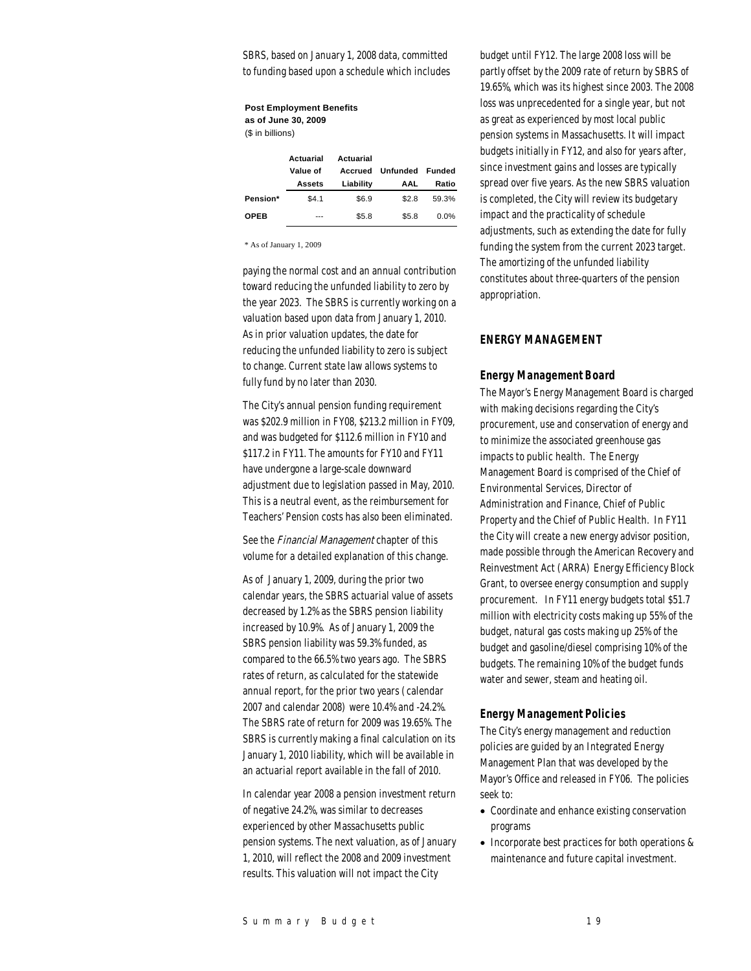SBRS, based on January 1, 2008 data, committed to funding based upon a schedule which includes

#### **Post Employment Benefits as of June 30, 2009**

(\$ in billions)

|             | Actuarial<br>Value of<br><b>Assets</b> | Actuarial<br>Accrued<br>Liability | Unfunded<br>AAL | <b>Funded</b><br>Ratio |
|-------------|----------------------------------------|-----------------------------------|-----------------|------------------------|
| Pension*    | \$4.1                                  | \$6.9                             | \$2.8           | 59.3%                  |
| <b>OPFB</b> | ---                                    | \$5.8                             | \$5.8           | <u>በ በ%</u>            |

\* As of January 1, 2009

paying the normal cost and an annual contribution toward reducing the unfunded liability to zero by the year 2023. The SBRS is currently working on a valuation based upon data from January 1, 2010. As in prior valuation updates, the date for reducing the unfunded liability to zero is subject to change. Current state law allows systems to fully fund by no later than 2030.

The City's annual pension funding requirement was \$202.9 million in FY08, \$213.2 million in FY09, and was budgeted for \$112.6 million in FY10 and \$117.2 in FY11. The amounts for FY10 and FY11 have undergone a large-scale downward adjustment due to legislation passed in May, 2010. This is a neutral event, as the reimbursement for Teachers' Pension costs has also been eliminated.

See the Financial Management chapter of this volume for a detailed explanation of this change.

As of January 1, 2009, during the prior two calendar years, the SBRS actuarial value of assets decreased by 1.2% as the SBRS pension liability increased by 10.9%. As of January 1, 2009 the SBRS pension liability was 59.3% funded, as compared to the 66.5% two years ago. The SBRS rates of return, as calculated for the statewide annual report, for the prior two years (calendar 2007 and calendar 2008) were 10.4% and -24.2%. The SBRS rate of return for 2009 was 19.65%. The SBRS is currently making a final calculation on its January 1, 2010 liability, which will be available in an actuarial report available in the fall of 2010.

In calendar year 2008 a pension investment return of negative 24.2%, was similar to decreases experienced by other Massachusetts public pension systems. The next valuation, as of January 1, 2010, will reflect the 2008 and 2009 investment results. This valuation will not impact the City

budget until FY12. The large 2008 loss will be partly offset by the 2009 rate of return by SBRS of 19.65%, which was its highest since 2003. The 2008 loss was unprecedented for a single year, but not as great as experienced by most local public pension systems in Massachusetts. It will impact budgets initially in FY12, and also for years after, since investment gains and losses are typically spread over five years. As the new SBRS valuation is completed, the City will review its budgetary impact and the practicality of schedule adjustments, such as extending the date for fully funding the system from the current 2023 target. The amortizing of the unfunded liability constitutes about three-quarters of the pension appropriation.

## *ENERGY MANAGEMENT*

## *Energy Management Board*

The Mayor's Energy Management Board is charged with making decisions regarding the City's procurement, use and conservation of energy and to minimize the associated greenhouse gas impacts to public health. The Energy Management Board is comprised of the Chief of Environmental Services, Director of Administration and Finance, Chief of Public Property and the Chief of Public Health. In FY11 the City will create a new energy advisor position, made possible through the American Recovery and Reinvestment Act (ARRA) Energy Efficiency Block Grant, to oversee energy consumption and supply procurement. In FY11 energy budgets total \$51.7 million with electricity costs making up 55% of the budget, natural gas costs making up 25% of the budget and gasoline/diesel comprising 10% of the budgets. The remaining 10% of the budget funds water and sewer, steam and heating oil.

## *Energy Management Policies*

The City's energy management and reduction policies are guided by an Integrated Energy Management Plan that was developed by the Mayor's Office and released in FY06. The policies seek to:

- Coordinate and enhance existing conservation programs
- Incorporate best practices for both operations & maintenance and future capital investment.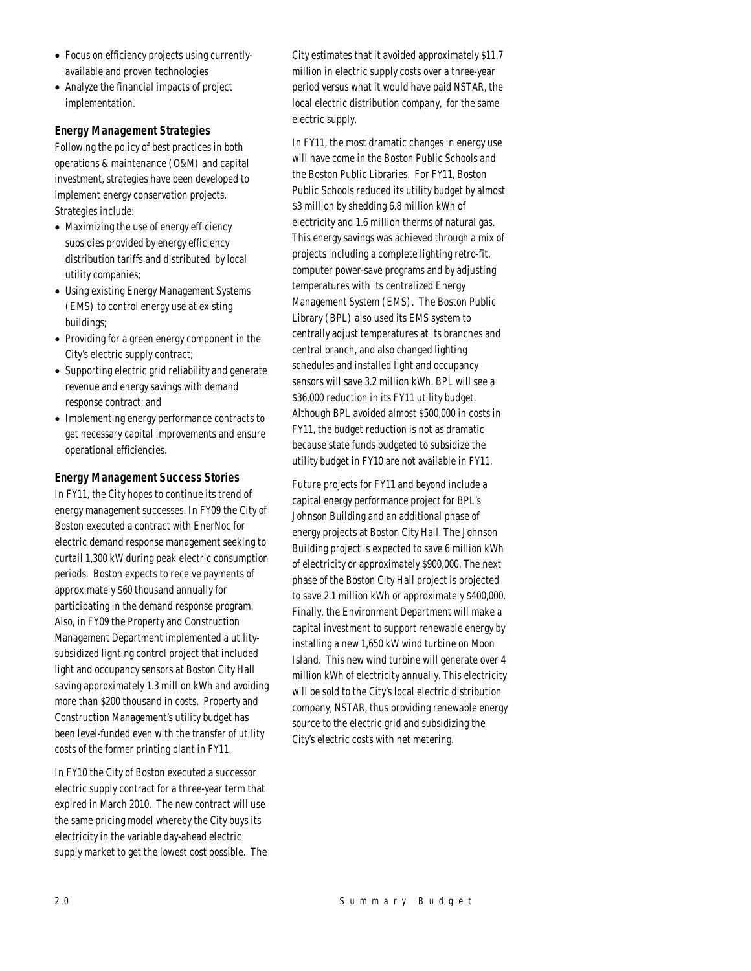- Focus on efficiency projects using currentlyavailable and proven technologies
- Analyze the financial impacts of project implementation.

## *Energy Management Strategies*

Following the policy of best practices in both operations & maintenance (O&M) and capital investment, strategies have been developed to implement energy conservation projects. Strategies include:

- Maximizing the use of energy efficiency subsidies provided by energy efficiency distribution tariffs and distributed by local utility companies;
- Using existing Energy Management Systems (EMS) to control energy use at existing buildings;
- Providing for a green energy component in the City's electric supply contract;
- Supporting electric grid reliability and generate revenue and energy savings with demand response contract; and
- Implementing energy performance contracts to get necessary capital improvements and ensure operational efficiencies.

## *Energy Management Success Stories*

In FY11, the City hopes to continue its trend of energy management successes. In FY09 the City of Boston executed a contract with EnerNoc for electric demand response management seeking to curtail 1,300 kW during peak electric consumption periods. Boston expects to receive payments of approximately \$60 thousand annually for participating in the demand response program. Also, in FY09 the Property and Construction Management Department implemented a utilitysubsidized lighting control project that included light and occupancy sensors at Boston City Hall saving approximately 1.3 million kWh and avoiding more than \$200 thousand in costs. Property and Construction Management's utility budget has been level-funded even with the transfer of utility costs of the former printing plant in FY11.

In FY10 the City of Boston executed a successor electric supply contract for a three-year term that expired in March 2010. The new contract will use the same pricing model whereby the City buys its electricity in the variable day-ahead electric supply market to get the lowest cost possible. The City estimates that it avoided approximately \$11.7 million in electric supply costs over a three-year period versus what it would have paid NSTAR, the local electric distribution company, for the same electric supply.

In FY11, the most dramatic changes in energy use will have come in the Boston Public Schools and the Boston Public Libraries. For FY11, Boston Public Schools reduced its utility budget by almost \$3 million by shedding 6.8 million kWh of electricity and 1.6 million therms of natural gas. This energy savings was achieved through a mix of projects including a complete lighting retro-fit, computer power-save programs and by adjusting temperatures with its centralized Energy Management System (EMS). The Boston Public Library (BPL) also used its EMS system to centrally adjust temperatures at its branches and central branch, and also changed lighting schedules and installed light and occupancy sensors will save 3.2 million kWh. BPL will see a \$36,000 reduction in its FY11 utility budget. Although BPL avoided almost \$500,000 in costs in FY11, the budget reduction is not as dramatic because state funds budgeted to subsidize the utility budget in FY10 are not available in FY11.

Future projects for FY11 and beyond include a capital energy performance project for BPL's Johnson Building and an additional phase of energy projects at Boston City Hall. The Johnson Building project is expected to save 6 million kWh of electricity or approximately \$900,000. The next phase of the Boston City Hall project is projected to save 2.1 million kWh or approximately \$400,000. Finally, the Environment Department will make a capital investment to support renewable energy by installing a new 1,650 kW wind turbine on Moon Island. This new wind turbine will generate over 4 million kWh of electricity annually. This electricity will be sold to the City's local electric distribution company, NSTAR, thus providing renewable energy source to the electric grid and subsidizing the City's electric costs with net metering.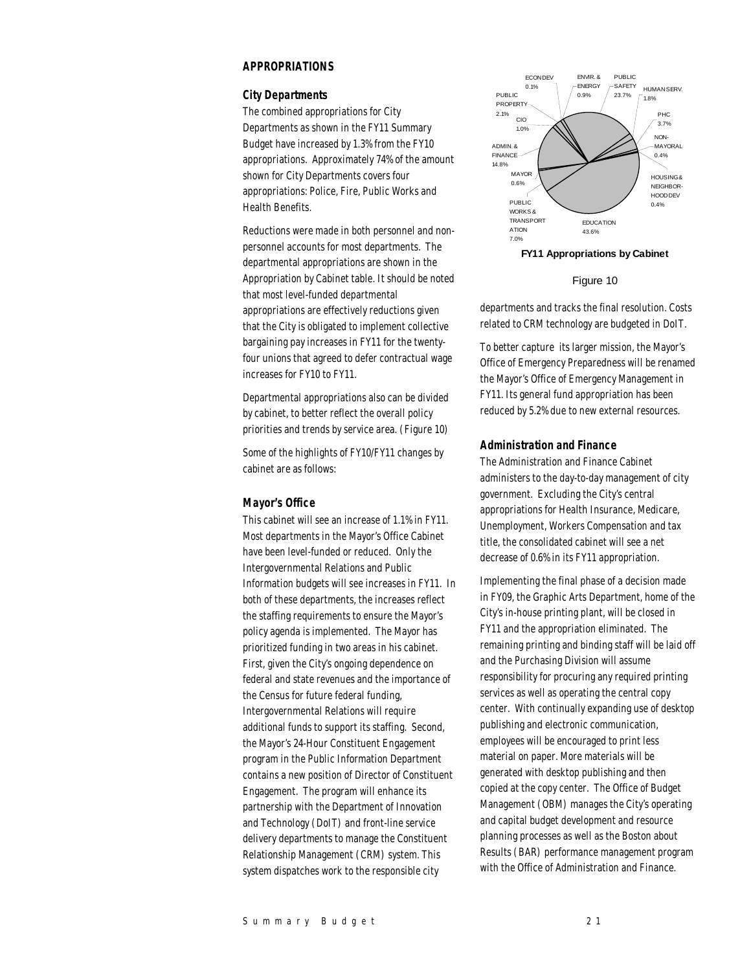## *APPROPRIATIONS*

#### *City Departments*

The combined appropriations for City Departments as shown in the FY11 Summary Budget have increased by 1.3% from the FY10 appropriations. Approximately 74% of the amount shown for City Departments covers four appropriations: Police, Fire, Public Works and Health Benefits.

Reductions were made in both personnel and nonpersonnel accounts for most departments. The departmental appropriations are shown in the Appropriation by Cabinet table. It should be noted that most level-funded departmental appropriations are effectively reductions given that the City is obligated to implement collective bargaining pay increases in FY11 for the twentyfour unions that agreed to defer contractual wage increases for FY10 to FY11.

Departmental appropriations also can be divided by cabinet, to better reflect the overall policy priorities and trends by service area. (Figure 10)

Some of the highlights of FY10/FY11 changes by cabinet are as follows:

## *Mayor's Office*

This cabinet will see an increase of 1.1% in FY11. Most departments in the Mayor's Office Cabinet have been level-funded or reduced. Only the Intergovernmental Relations and Public Information budgets will see increases in FY11. In both of these departments, the increases reflect the staffing requirements to ensure the Mayor's policy agenda is implemented. The Mayor has prioritized funding in two areas in his cabinet. First, given the City's ongoing dependence on federal and state revenues and the importance of the Census for future federal funding, Intergovernmental Relations will require additional funds to support its staffing. Second, the Mayor's 24-Hour Constituent Engagement program in the Public Information Department contains a new position of Director of Constituent Engagement. The program will enhance its partnership with the Department of Innovation and Technology (DoIT) and front-line service delivery departments to manage the Constituent Relationship Management (CRM) system. This system dispatches work to the responsible city



Figure 10

departments and tracks the final resolution. Costs related to CRM technology are budgeted in DoIT.

To better capture its larger mission, the Mayor's Office of Emergency Preparedness will be renamed the Mayor's Office of Emergency Management in FY11. Its general fund appropriation has been reduced by 5.2% due to new external resources.

#### *Administration and Finance*

The Administration and Finance Cabinet administers to the day-to-day management of city government. Excluding the City's central appropriations for Health Insurance, Medicare, Unemployment, Workers Compensation and tax title, the consolidated cabinet will see a net decrease of 0.6% in its FY11 appropriation.

Implementing the final phase of a decision made in FY09, the Graphic Arts Department, home of the City's in-house printing plant, will be closed in FY11 and the appropriation eliminated. The remaining printing and binding staff will be laid off and the Purchasing Division will assume responsibility for procuring any required printing services as well as operating the central copy center. With continually expanding use of desktop publishing and electronic communication, employees will be encouraged to print less material on paper. More materials will be generated with desktop publishing and then copied at the copy center. The Office of Budget Management (OBM) manages the City's operating and capital budget development and resource planning processes as well as the Boston about Results (BAR) performance management program with the Office of Administration and Finance.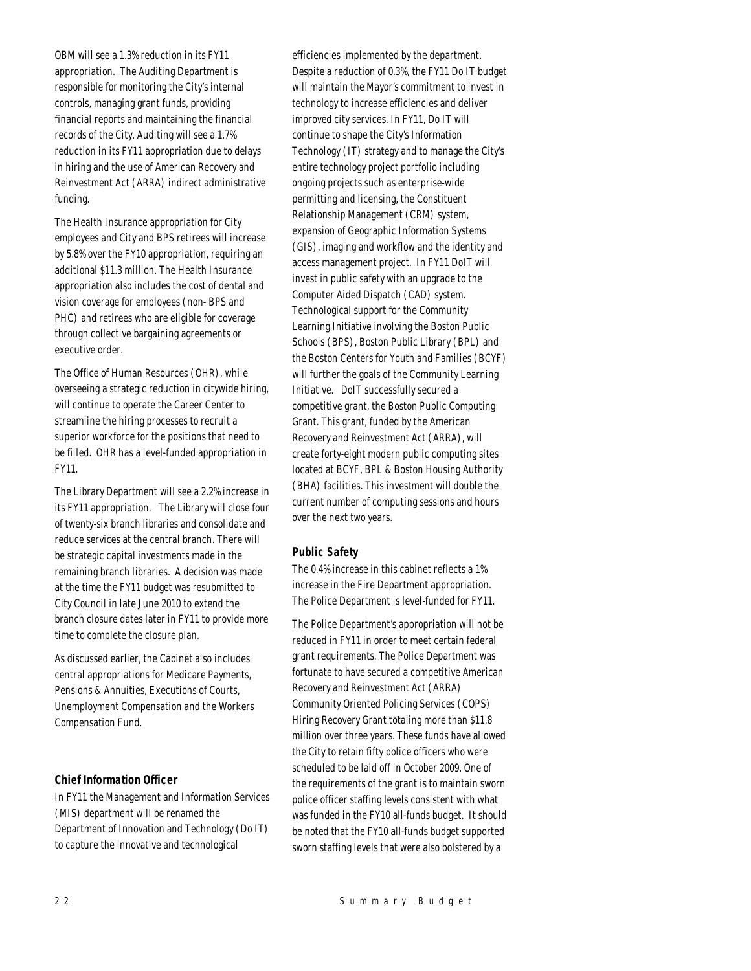OBM will see a 1.3% reduction in its FY11 appropriation. The Auditing Department is responsible for monitoring the City's internal controls, managing grant funds, providing financial reports and maintaining the financial records of the City. Auditing will see a 1.7% reduction in its FY11 appropriation due to delays in hiring and the use of American Recovery and Reinvestment Act (ARRA) indirect administrative funding.

The Health Insurance appropriation for City employees and City and BPS retirees will increase by 5.8% over the FY10 appropriation, requiring an additional \$11.3 million. The Health Insurance appropriation also includes the cost of dental and vision coverage for employees (non- BPS and PHC) and retirees who are eligible for coverage through collective bargaining agreements or executive order.

The Office of Human Resources (OHR), while overseeing a strategic reduction in citywide hiring, will continue to operate the Career Center to streamline the hiring processes to recruit a superior workforce for the positions that need to be filled. OHR has a level-funded appropriation in FY11.

The Library Department will see a 2.2% increase in its FY11 appropriation. The Library will close four of twenty-six branch libraries and consolidate and reduce services at the central branch. There will be strategic capital investments made in the remaining branch libraries. A decision was made at the time the FY11 budget was resubmitted to City Council in late June 2010 to extend the branch closure dates later in FY11 to provide more time to complete the closure plan.

As discussed earlier, the Cabinet also includes central appropriations for Medicare Payments, Pensions & Annuities, Executions of Courts, Unemployment Compensation and the Workers Compensation Fund.

## *Chief Information Officer*

In FY11 the Management and Information Services (MIS) department will be renamed the Department of Innovation and Technology (Do IT) to capture the innovative and technological

efficiencies implemented by the department. Despite a reduction of 0.3%, the FY11 Do IT budget will maintain the Mayor's commitment to invest in technology to increase efficiencies and deliver improved city services. In FY11, Do IT will continue to shape the City's Information Technology (IT) strategy and to manage the City's entire technology project portfolio including ongoing projects such as enterprise-wide permitting and licensing, the Constituent Relationship Management (CRM) system, expansion of Geographic Information Systems (GIS), imaging and workflow and the identity and access management project. In FY11 DoIT will invest in public safety with an upgrade to the Computer Aided Dispatch (CAD) system. Technological support for the Community Learning Initiative involving the Boston Public Schools (BPS), Boston Public Library (BPL) and the Boston Centers for Youth and Families (BCYF) will further the goals of the Community Learning Initiative. DoIT successfully secured a competitive grant, the Boston Public Computing Grant. This grant, funded by the American Recovery and Reinvestment Act (ARRA), will create forty-eight modern public computing sites located at BCYF, BPL & Boston Housing Authority (BHA) facilities. This investment will double the current number of computing sessions and hours over the next two years.

## *Public Safety*

The 0.4% increase in this cabinet reflects a 1% increase in the Fire Department appropriation. The Police Department is level-funded for FY11.

The Police Department's appropriation will not be reduced in FY11 in order to meet certain federal grant requirements. The Police Department was fortunate to have secured a competitive American Recovery and Reinvestment Act (ARRA) Community Oriented Policing Services (COPS) Hiring Recovery Grant totaling more than \$11.8 million over three years. These funds have allowed the City to retain fifty police officers who were scheduled to be laid off in October 2009. One of the requirements of the grant is to maintain sworn police officer staffing levels consistent with what was funded in the FY10 all-funds budget. It should be noted that the FY10 all-funds budget supported sworn staffing levels that were also bolstered by a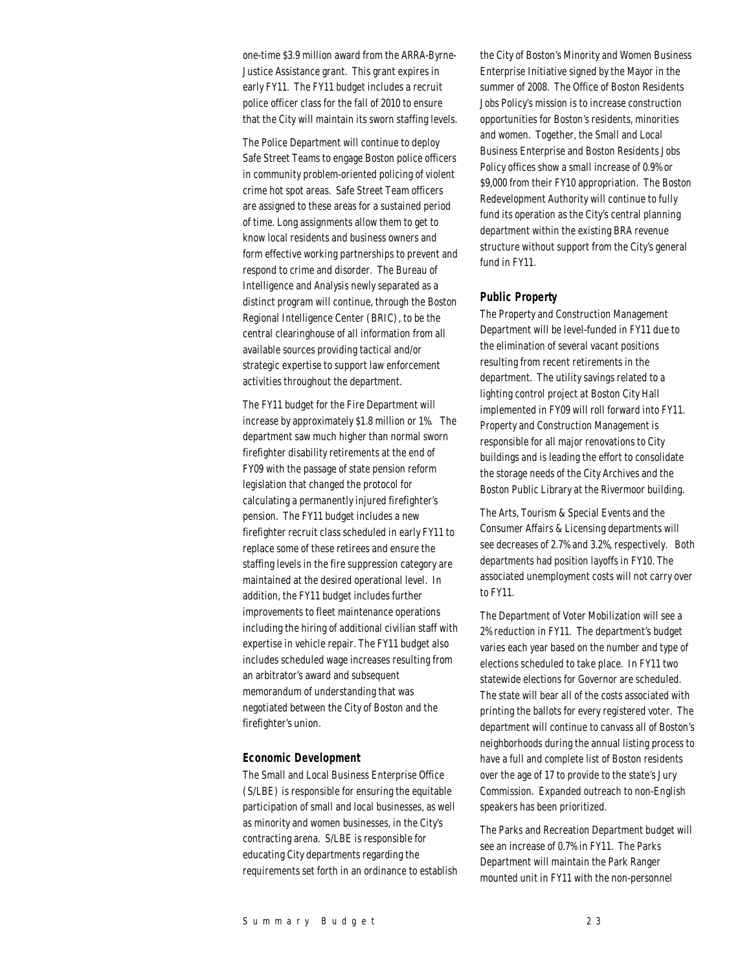one-time \$3.9 million award from the ARRA-Byrne-Justice Assistance grant. This grant expires in early FY11. The FY11 budget includes a recruit police officer class for the fall of 2010 to ensure that the City will maintain its sworn staffing levels.

The Police Department will continue to deploy Safe Street Teams to engage Boston police officers in community problem-oriented policing of violent crime hot spot areas. Safe Street Team officers are assigned to these areas for a sustained period of time. Long assignments allow them to get to know local residents and business owners and form effective working partnerships to prevent and respond to crime and disorder. The Bureau of Intelligence and Analysis newly separated as a distinct program will continue, through the Boston Regional Intelligence Center (BRIC), to be the central clearinghouse of all information from all available sources providing tactical and/or strategic expertise to support law enforcement activities throughout the department.

The FY11 budget for the Fire Department will increase by approximately \$1.8 million or 1%. The department saw much higher than normal sworn firefighter disability retirements at the end of FY09 with the passage of state pension reform legislation that changed the protocol for calculating a permanently injured firefighter's pension. The FY11 budget includes a new firefighter recruit class scheduled in early FY11 to replace some of these retirees and ensure the staffing levels in the fire suppression category are maintained at the desired operational level. In addition, the FY11 budget includes further improvements to fleet maintenance operations including the hiring of additional civilian staff with expertise in vehicle repair. The FY11 budget also includes scheduled wage increases resulting from an arbitrator's award and subsequent memorandum of understanding that was negotiated between the City of Boston and the firefighter's union.

#### *Economic Development*

The Small and Local Business Enterprise Office (S/LBE) is responsible for ensuring the equitable participation of small and local businesses, as well as minority and women businesses, in the City's contracting arena. S/LBE is responsible for educating City departments regarding the requirements set forth in an ordinance to establish the City of Boston's Minority and Women Business Enterprise Initiative signed by the Mayor in the summer of 2008. The Office of Boston Residents Jobs Policy's mission is to increase construction opportunities for Boston's residents, minorities and women. Together, the Small and Local Business Enterprise and Boston Residents Jobs Policy offices show a small increase of 0.9% or \$9,000 from their FY10 appropriation. The Boston Redevelopment Authority will continue to fully fund its operation as the City's central planning department within the existing BRA revenue structure without support from the City's general fund in FY11.

## *Public Property*

The Property and Construction Management Department will be level-funded in FY11 due to the elimination of several vacant positions resulting from recent retirements in the department. The utility savings related to a lighting control project at Boston City Hall implemented in FY09 will roll forward into FY11. Property and Construction Management is responsible for all major renovations to City buildings and is leading the effort to consolidate the storage needs of the City Archives and the Boston Public Library at the Rivermoor building.

The Arts, Tourism & Special Events and the Consumer Affairs & Licensing departments will see decreases of 2.7% and 3.2%, respectively. Both departments had position layoffs in FY10. The associated unemployment costs will not carry over to FY11.

The Department of Voter Mobilization will see a 2% reduction in FY11. The department's budget varies each year based on the number and type of elections scheduled to take place. In FY11 two statewide elections for Governor are scheduled. The state will bear all of the costs associated with printing the ballots for every registered voter. The department will continue to canvass all of Boston's neighborhoods during the annual listing process to have a full and complete list of Boston residents over the age of 17 to provide to the state's Jury Commission. Expanded outreach to non-English speakers has been prioritized.

The Parks and Recreation Department budget will see an increase of 0.7% in FY11. The Parks Department will maintain the Park Ranger mounted unit in FY11 with the non-personnel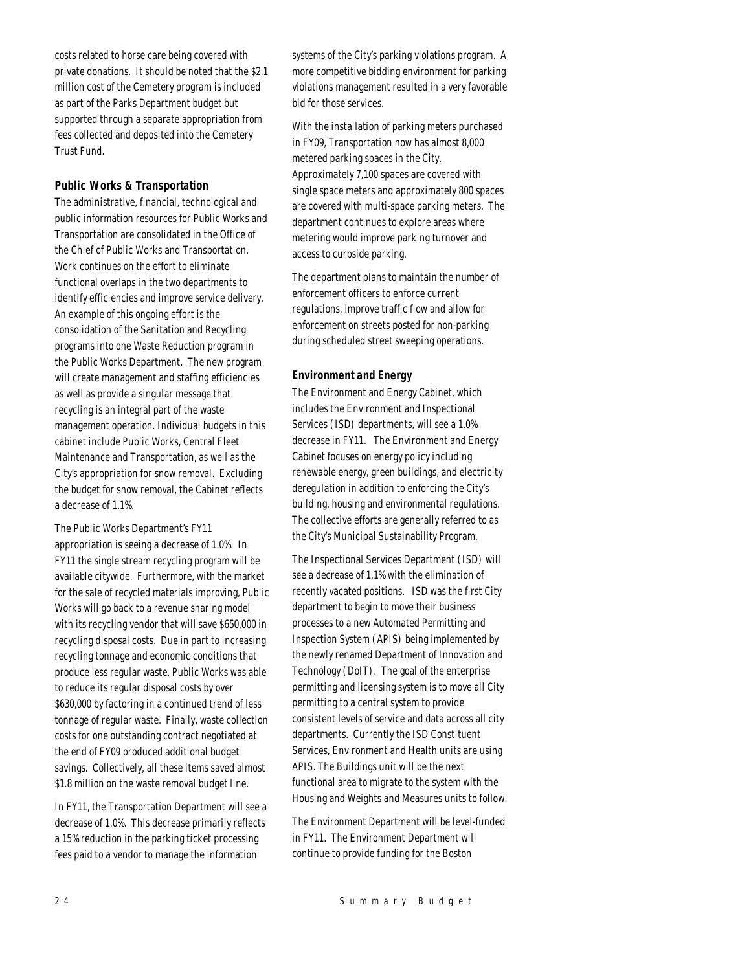costs related to horse care being covered with private donations. It should be noted that the \$2.1 million cost of the Cemetery program is included as part of the Parks Department budget but supported through a separate appropriation from fees collected and deposited into the Cemetery Trust Fund.

## *Public Works & Transportation*

The administrative, financial, technological and public information resources for Public Works and Transportation are consolidated in the Office of the Chief of Public Works and Transportation. Work continues on the effort to eliminate functional overlaps in the two departments to identify efficiencies and improve service delivery. An example of this ongoing effort is the consolidation of the Sanitation and Recycling programs into one Waste Reduction program in the Public Works Department. The new program will create management and staffing efficiencies as well as provide a singular message that recycling is an integral part of the waste management operation. Individual budgets in this cabinet include Public Works, Central Fleet Maintenance and Transportation, as well as the City's appropriation for snow removal. Excluding the budget for snow removal, the Cabinet reflects a decrease of 1.1%.

The Public Works Department's FY11 appropriation is seeing a decrease of 1.0%. In FY11 the single stream recycling program will be available citywide. Furthermore, with the market for the sale of recycled materials improving, Public Works will go back to a revenue sharing model with its recycling vendor that will save \$650,000 in recycling disposal costs. Due in part to increasing recycling tonnage and economic conditions that produce less regular waste, Public Works was able to reduce its regular disposal costs by over \$630,000 by factoring in a continued trend of less tonnage of regular waste. Finally, waste collection costs for one outstanding contract negotiated at the end of FY09 produced additional budget savings. Collectively, all these items saved almost \$1.8 million on the waste removal budget line.

In FY11, the Transportation Department will see a decrease of 1.0%. This decrease primarily reflects a 15% reduction in the parking ticket processing fees paid to a vendor to manage the information

systems of the City's parking violations program. A more competitive bidding environment for parking violations management resulted in a very favorable bid for those services.

With the installation of parking meters purchased in FY09, Transportation now has almost 8,000 metered parking spaces in the City. Approximately 7,100 spaces are covered with single space meters and approximately 800 spaces are covered with multi-space parking meters. The department continues to explore areas where metering would improve parking turnover and access to curbside parking.

The department plans to maintain the number of enforcement officers to enforce current regulations, improve traffic flow and allow for enforcement on streets posted for non-parking during scheduled street sweeping operations.

## *Environment and Energy*

The Environment and Energy Cabinet, which includes the Environment and Inspectional Services (ISD) departments, will see a 1.0% decrease in FY11. The Environment and Energy Cabinet focuses on energy policy including renewable energy, green buildings, and electricity deregulation in addition to enforcing the City's building, housing and environmental regulations. The collective efforts are generally referred to as the City's Municipal Sustainability Program.

The Inspectional Services Department (ISD) will see a decrease of 1.1% with the elimination of recently vacated positions. ISD was the first City department to begin to move their business processes to a new Automated Permitting and Inspection System (APIS) being implemented by the newly renamed Department of Innovation and Technology (DoIT). The goal of the enterprise permitting and licensing system is to move all City permitting to a central system to provide consistent levels of service and data across all city departments. Currently the ISD Constituent Services, Environment and Health units are using APIS. The Buildings unit will be the next functional area to migrate to the system with the Housing and Weights and Measures units to follow.

The Environment Department will be level-funded in FY11. The Environment Department will continue to provide funding for the Boston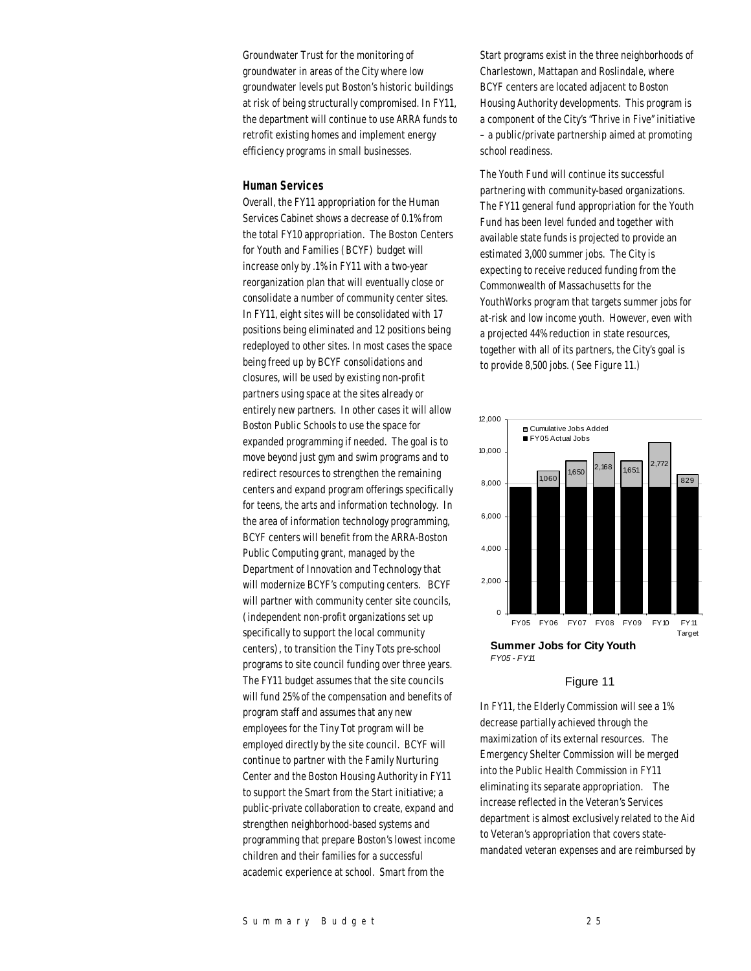Groundwater Trust for the monitoring of groundwater in areas of the City where low groundwater levels put Boston's historic buildings at risk of being structurally compromised. In FY11, the department will continue to use ARRA funds to retrofit existing homes and implement energy efficiency programs in small businesses.

#### *Human Services*

Overall, the FY11 appropriation for the Human Services Cabinet shows a decrease of 0.1% from the total FY10 appropriation. The Boston Centers for Youth and Families (BCYF) budget will increase only by .1% in FY11 with a two-year reorganization plan that will eventually close or consolidate a number of community center sites. In FY11, eight sites will be consolidated with 17 positions being eliminated and 12 positions being redeployed to other sites. In most cases the space being freed up by BCYF consolidations and closures, will be used by existing non-profit partners using space at the sites already or entirely new partners. In other cases it will allow Boston Public Schools to use the space for expanded programming if needed. The goal is to move beyond just gym and swim programs and to redirect resources to strengthen the remaining centers and expand program offerings specifically for teens, the arts and information technology. In the area of information technology programming, BCYF centers will benefit from the ARRA-Boston Public Computing grant, managed by the Department of Innovation and Technology that will modernize BCYF's computing centers. BCYF will partner with community center site councils, (independent non-profit organizations set up specifically to support the local community centers), to transition the Tiny Tots pre-school programs to site council funding over three years. The FY11 budget assumes that the site councils will fund 25% of the compensation and benefits of program staff and assumes that any new employees for the Tiny Tot program will be employed directly by the site council. BCYF will continue to partner with the Family Nurturing Center and the Boston Housing Authority in FY11 to support the Smart from the Start initiative; a public-private collaboration to create, expand and strengthen neighborhood-based systems and programming that prepare Boston's lowest income children and their families for a successful academic experience at school. Smart from the

Start programs exist in the three neighborhoods of Charlestown, Mattapan and Roslindale, where BCYF centers are located adjacent to Boston Housing Authority developments. This program is a component of the City's "Thrive in Five" initiative – a public/private partnership aimed at promoting school readiness.

The Youth Fund will continue its successful partnering with community-based organizations. The FY11 general fund appropriation for the Youth Fund has been level funded and together with available state funds is projected to provide an estimated 3,000 summer jobs. The City is expecting to receive reduced funding from the Commonwealth of Massachusetts for the YouthWorks program that targets summer jobs for at-risk and low income youth. However, even with a projected 44% reduction in state resources, together with all of its partners, the City's goal is to provide 8,500 jobs. (See Figure 11.)



#### Figure 11

In FY11, the Elderly Commission will see a 1% decrease partially achieved through the maximization of its external resources. The Emergency Shelter Commission will be merged into the Public Health Commission in FY11 eliminating its separate appropriation. The increase reflected in the Veteran's Services department is almost exclusively related to the Aid to Veteran's appropriation that covers statemandated veteran expenses and are reimbursed by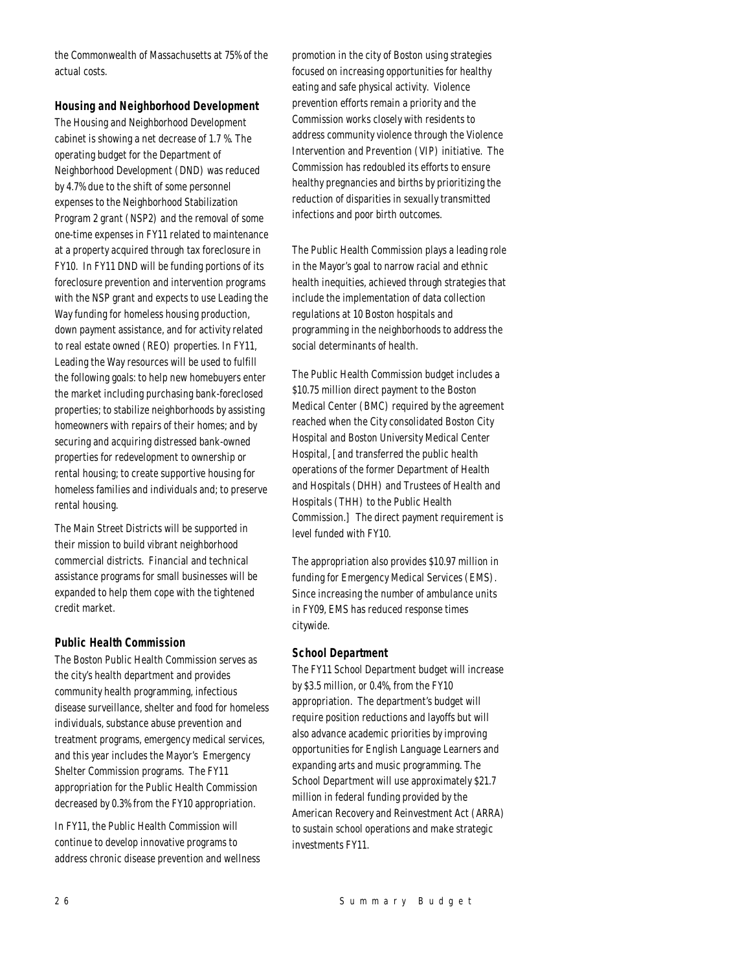the Commonwealth of Massachusetts at 75% of the actual costs.

## *Housing and Neighborhood Development*

The Housing and Neighborhood Development cabinet is showing a net decrease of 1.7 %. The operating budget for the Department of Neighborhood Development (DND) was reduced by 4.7% due to the shift of some personnel expenses to the Neighborhood Stabilization Program 2 grant (NSP2) and the removal of some one-time expenses in FY11 related to maintenance at a property acquired through tax foreclosure in FY10. In FY11 DND will be funding portions of its foreclosure prevention and intervention programs with the NSP grant and expects to use Leading the Way funding for homeless housing production, down payment assistance, and for activity related to real estate owned (REO) properties. In FY11, Leading the Way resources will be used to fulfill the following goals: to help new homebuyers enter the market including purchasing bank-foreclosed properties; to stabilize neighborhoods by assisting homeowners with repairs of their homes; and by securing and acquiring distressed bank-owned properties for redevelopment to ownership or rental housing; to create supportive housing for homeless families and individuals and; to preserve rental housing.

The Main Street Districts will be supported in their mission to build vibrant neighborhood commercial districts. Financial and technical assistance programs for small businesses will be expanded to help them cope with the tightened credit market.

## *Public Health Commission*

The Boston Public Health Commission serves as the city's health department and provides community health programming, infectious disease surveillance, shelter and food for homeless individuals, substance abuse prevention and treatment programs, emergency medical services, and this year includes the Mayor's Emergency Shelter Commission programs. The FY11 appropriation for the Public Health Commission decreased by 0.3% from the FY10 appropriation.

In FY11, the Public Health Commission will continue to develop innovative programs to address chronic disease prevention and wellness promotion in the city of Boston using strategies focused on increasing opportunities for healthy eating and safe physical activity. Violence prevention efforts remain a priority and the Commission works closely with residents to address community violence through the Violence Intervention and Prevention (VIP) initiative. The Commission has redoubled its efforts to ensure healthy pregnancies and births by prioritizing the reduction of disparities in sexually transmitted infections and poor birth outcomes.

The Public Health Commission plays a leading role in the Mayor's goal to narrow racial and ethnic health inequities, achieved through strategies that include the implementation of data collection regulations at 10 Boston hospitals and programming in the neighborhoods to address the social determinants of health.

The Public Health Commission budget includes a \$10.75 million direct payment to the Boston Medical Center (BMC) required by the agreement reached when the City consolidated Boston City Hospital and Boston University Medical Center Hospital, [and transferred the public health operations of the former Department of Health and Hospitals (DHH) and Trustees of Health and Hospitals (THH) to the Public Health Commission.] The direct payment requirement is level funded with FY10.

The appropriation also provides \$10.97 million in funding for Emergency Medical Services (EMS). Since increasing the number of ambulance units in FY09, EMS has reduced response times citywide.

## *School Department*

The FY11 School Department budget will increase by \$3.5 million, or 0.4%, from the FY10 appropriation. The department's budget will require position reductions and layoffs but will also advance academic priorities by improving opportunities for English Language Learners and expanding arts and music programming. The School Department will use approximately \$21.7 million in federal funding provided by the American Recovery and Reinvestment Act (ARRA) to sustain school operations and make strategic investments FY11.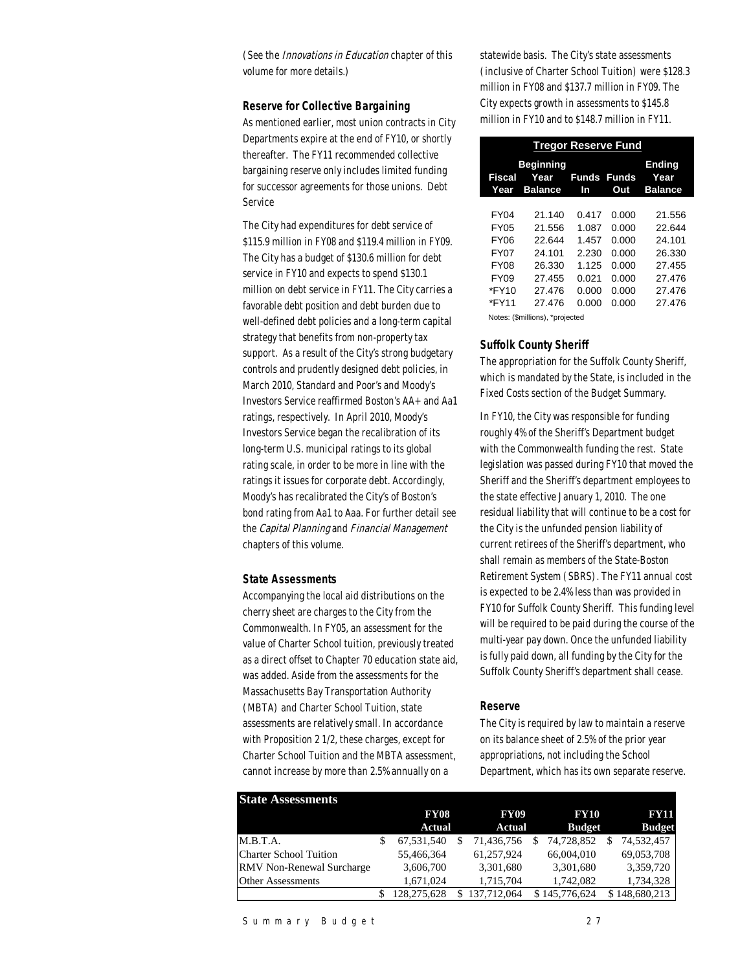(See the *Innovations in Education* chapter of this volume for more details.)

## *Reserve for Collective Bargaining*

As mentioned earlier, most union contracts in City Departments expire at the end of FY10, or shortly thereafter. The FY11 recommended collective bargaining reserve only includes limited funding for successor agreements for those unions. Debt Service

The City had expenditures for debt service of \$115.9 million in FY08 and \$119.4 million in FY09. The City has a budget of \$130.6 million for debt service in FY10 and expects to spend \$130.1 million on debt service in FY11. The City carries a favorable debt position and debt burden due to well-defined debt policies and a long-term capital strategy that benefits from non-property tax support. As a result of the City's strong budgetary controls and prudently designed debt policies, in March 2010, Standard and Poor's and Moody's Investors Service reaffirmed Boston's AA+ and Aa1 ratings, respectively. In April 2010, Moody's Investors Service began the recalibration of its long-term U.S. municipal ratings to its global rating scale, in order to be more in line with the ratings it issues for corporate debt. Accordingly, Moody's has recalibrated the City's of Boston's bond rating from Aa1 to Aaa. For further detail see the Capital Planning and Financial Management chapters of this volume.

## *State Assessments*

Accompanying the local aid distributions on the cherry sheet are charges to the City from the Commonwealth. In FY05, an assessment for the value of Charter School tuition, previously treated as a direct offset to Chapter 70 education state aid, was added. Aside from the assessments for the Massachusetts Bay Transportation Authority (MBTA) and Charter School Tuition, state assessments are relatively small. In accordance with Proposition 2 1/2, these charges, except for Charter School Tuition and the MBTA assessment, cannot increase by more than 2.5% annually on a

statewide basis. The City's state assessments (inclusive of Charter School Tuition) were \$128.3 million in FY08 and \$137.7 million in FY09. The City expects growth in assessments to \$145.8 million in FY10 and to \$148.7 million in FY11.

| <b>Tregor Reserve Fund</b>      |                                     |                    |              |                                  |  |  |
|---------------------------------|-------------------------------------|--------------------|--------------|----------------------------------|--|--|
| <b>Fiscal</b><br>Year           | Beginning<br>Year<br><b>Balance</b> | <b>Funds</b><br>In | Funds<br>Out | Ending<br>Year<br><b>Balance</b> |  |  |
|                                 |                                     |                    |              |                                  |  |  |
| <b>FY04</b>                     | 21.140                              | 0.417              | 0.000        | 21.556                           |  |  |
| FY05                            | 21.556                              | 1.087              | 0.000        | 22.644                           |  |  |
| FY06                            | 22.644                              | 1.457              | 0.000        | 24.101                           |  |  |
| <b>FY07</b>                     | 24.101                              | 2.230              | 0.000        | 26.330                           |  |  |
| <b>FY08</b>                     | 26.330                              | 1.125              | 0.000        | 27.455                           |  |  |
| <b>FY09</b>                     | 27.455                              | 0.021              | 0.000        | 27.476                           |  |  |
| $*$ FY10                        | 27.476                              | 0.000              | 0.000        | 27.476                           |  |  |
| *FY11                           | 27.476                              | 0.000              | 0.000        | 27.476                           |  |  |
| Notes: (\$millions), *projected |                                     |                    |              |                                  |  |  |

#### *Suffolk County Sheriff*

The appropriation for the Suffolk County Sheriff, which is mandated by the State, is included in the Fixed Costs section of the Budget Summary.

In FY10, the City was responsible for funding roughly 4% of the Sheriff's Department budget with the Commonwealth funding the rest. State legislation was passed during FY10 that moved the Sheriff and the Sheriff's department employees to the state effective January 1, 2010. The one residual liability that will continue to be a cost for the City is the unfunded pension liability of current retirees of the Sheriff's department, who shall remain as members of the State-Boston Retirement System (SBRS). The FY11 annual cost is expected to be 2.4% less than was provided in FY10 for Suffolk County Sheriff. This funding level will be required to be paid during the course of the multi-year pay down. Once the unfunded liability is fully paid down, all funding by the City for the Suffolk County Sheriff's department shall cease.

#### *Reserve*

The City is required by law to maintain a reserve on its balance sheet of 2.5% of the prior year appropriations, not including the School Department, which has its own separate reserve.

| <b>State Assessments</b>         |  |             |  |             |  |               |             |               |  |
|----------------------------------|--|-------------|--|-------------|--|---------------|-------------|---------------|--|
|                                  |  | <b>FY08</b> |  | <b>FY09</b> |  |               | <b>FY10</b> |               |  |
|                                  |  | Actual      |  | Actual      |  | <b>Budget</b> |             | <b>Budget</b> |  |
| M.B.T.A.                         |  | 67.531.540  |  | 71.436.756  |  | 74,728,852    |             | 74,532,457    |  |
| <b>Charter School Tuition</b>    |  | 55.466.364  |  | 61,257,924  |  | 66,004,010    |             | 69,053,708    |  |
| <b>RMV Non-Renewal Surcharge</b> |  | 3,606,700   |  | 3.301.680   |  | 3.301.680     |             | 3,359,720     |  |
| <b>Other Assessments</b>         |  | 1.671.024   |  | 1.715.704   |  | 1,742,082     |             | 1,734,328     |  |
|                                  |  | 128,275,628 |  | 137,712,064 |  | \$145,776,624 |             | \$148,680,213 |  |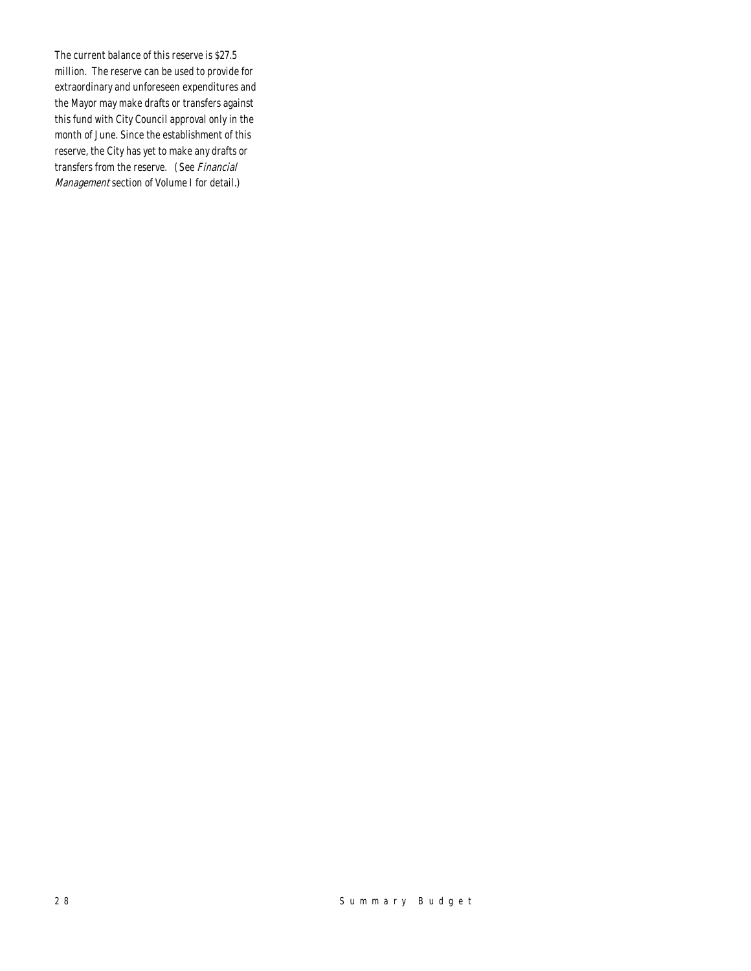The current balance of this reserve is \$27.5 million. The reserve can be used to provide for extraordinary and unforeseen expenditures and the Mayor may make drafts or transfers against this fund with City Council approval only in the month of June. Since the establishment of this reserve, the City has yet to make any drafts or transfers from the reserve. (See Financial Management section of Volume I for detail.)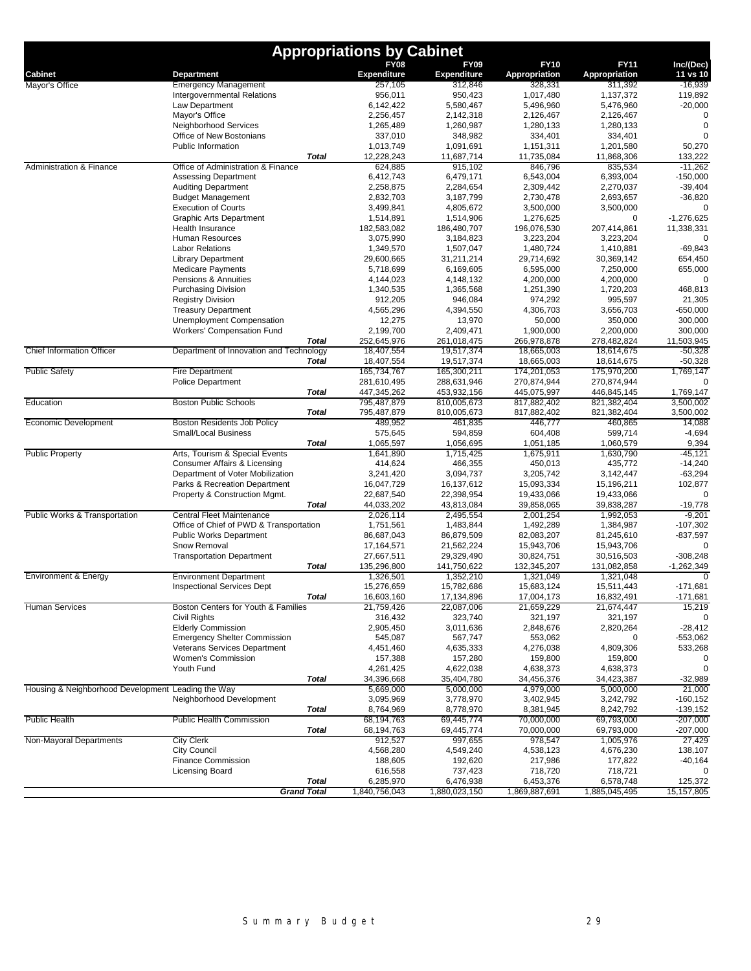|                                                    |                                                                     |              | <b>Appropriations by Cabinet</b>  |                                   |                              |                              |                          |
|----------------------------------------------------|---------------------------------------------------------------------|--------------|-----------------------------------|-----------------------------------|------------------------------|------------------------------|--------------------------|
| <b>Cabinet</b>                                     | Department                                                          |              | <b>FY08</b><br><b>Expenditure</b> | <b>FY09</b><br><b>Expenditure</b> | <b>FY10</b><br>Appropriation | <b>FY11</b><br>Appropriation | Inc/(Dec)<br>11 vs 10    |
| Mayor's Office                                     | <b>Emergency Management</b>                                         |              | 257,105                           | 312,846                           | 328,331                      | 311,392                      | $-16,939$                |
|                                                    | Intergovernmental Relations                                         |              | 956,011                           | 950,423                           | 1,017,480                    | 1,137,372                    | 119,892                  |
|                                                    | Law Department<br>Mayor's Office                                    |              | 6,142,422<br>2,256,457            | 5,580,467<br>2,142,318            | 5,496,960<br>2,126,467       | 5,476,960<br>2,126,467       | $-20,000$<br>0           |
|                                                    | Neighborhood Services                                               |              | 1,265,489                         | 1,260,987                         | 1,280,133                    | 1,280,133                    | $\Omega$                 |
|                                                    | Office of New Bostonians                                            |              | 337,010                           | 348,982                           | 334,401                      | 334,401                      | $\Omega$                 |
|                                                    | Public Information                                                  |              | 1,013,749                         | 1,091,691                         | 1,151,311                    | 1,201,580                    | 50,270                   |
|                                                    |                                                                     | <b>Total</b> | 12,228,243                        | 11,687,714                        | 11,735,084                   | 11,868,306                   | 133,222                  |
| Administration & Finance                           | Office of Administration & Finance<br><b>Assessing Department</b>   |              | 624,885                           | 915,102                           | 846,796                      | 835,534                      | $-11,262$                |
|                                                    | <b>Auditing Department</b>                                          |              | 6,412,743<br>2,258,875            | 6,479,171<br>2,284,654            | 6,543,004<br>2,309,442       | 6,393,004<br>2,270,037       | $-150,000$<br>$-39,404$  |
|                                                    | <b>Budget Management</b>                                            |              | 2,832,703                         | 3,187,799                         | 2,730,478                    | 2,693,657                    | $-36,820$                |
|                                                    | <b>Execution of Courts</b>                                          |              | 3,499,841                         | 4,805,672                         | 3,500,000                    | 3,500,000                    | $\Omega$                 |
|                                                    | <b>Graphic Arts Department</b>                                      |              | 1,514,891                         | 1,514,906                         | 1,276,625                    | 0                            | $-1,276,625$             |
|                                                    | Health Insurance                                                    |              | 182,583,082                       | 186,480,707                       | 196,076,530                  | 207,414,861                  | 11,338,331               |
|                                                    | Human Resources                                                     |              | 3,075,990                         | 3,184,823                         | 3,223,204                    | 3,223,204                    |                          |
|                                                    | <b>Labor Relations</b>                                              |              | 1,349,570                         | 1,507,047                         | 1,480,724                    | 1,410,881                    | $-69,843$                |
|                                                    | <b>Library Department</b>                                           |              | 29,600,665                        | 31,211,214                        | 29,714,692                   | 30,369,142                   | 654,450                  |
|                                                    | <b>Medicare Payments</b><br>Pensions & Annuities                    |              | 5,718,699<br>4,144,023            | 6,169,605<br>4,148,132            | 6,595,000<br>4,200,000       | 7,250,000<br>4,200,000       | 655,000<br>$\Omega$      |
|                                                    | <b>Purchasing Division</b>                                          |              | 1,340,535                         | 1,365,568                         | 1,251,390                    | 1,720,203                    | 468,813                  |
|                                                    | <b>Registry Division</b>                                            |              | 912,205                           | 946.084                           | 974,292                      | 995,597                      | 21,305                   |
|                                                    | <b>Treasury Department</b>                                          |              | 4,565,296                         | 4,394,550                         | 4,306,703                    | 3,656,703                    | $-650,000$               |
|                                                    | Unemployment Compensation                                           |              | 12,275                            | 13,970                            | 50,000                       | 350,000                      | 300,000                  |
|                                                    | <b>Workers' Compensation Fund</b>                                   |              | 2,199,700                         | 2,409,471                         | 1,900,000                    | 2,200,000                    | 300,000                  |
|                                                    |                                                                     | Total        | 252,645,976                       | 261,018,475                       | 266,978,878                  | 278,482,824                  | 11,503,945               |
| <b>Chief Information Officer</b>                   | Department of Innovation and Technology                             |              | 18,407,554                        | 19,517,374                        | 18,665,003                   | 18,614,675                   | $-50,328$                |
|                                                    |                                                                     | <b>Total</b> | 18,407,554<br>165,734,767         | 19,517,374<br>165,300,211         | 18,665,003<br>174,201,053    | 18,614,675<br>175,970,200    | $-50,328$<br>1,769,147   |
| <b>Public Safety</b>                               | <b>Fire Department</b><br><b>Police Department</b>                  |              | 281,610,495                       | 288,631,946                       | 270,874,944                  | 270,874,944                  | n                        |
|                                                    |                                                                     | <b>Total</b> | 447,345,262                       | 453,932,156                       | 445,075,997                  | 446,845,145                  | 1,769,147                |
| Education                                          | <b>Boston Public Schools</b>                                        |              | 795,487,879                       | 810,005,673                       | 817,882,402                  | 821,382,404                  | 3,500,002                |
|                                                    |                                                                     | <b>Total</b> | 795,487,879                       | 810,005,673                       | 817,882,402                  | 821,382,404                  | 3,500,002                |
| Economic Development                               | Boston Residents Job Policy                                         |              | 489,952                           | 461,835                           | 446,777                      | 460,865                      | 14,088                   |
|                                                    | Small/Local Business                                                |              | 575,645                           | 594,859                           | 604,408                      | 599,714                      | $-4,694$                 |
|                                                    |                                                                     | <b>Total</b> | 1,065,597                         | 1,056,695                         | 1,051,185                    | 1,060,579                    | 9,394                    |
| <b>Public Property</b>                             | Arts, Tourism & Special Events<br>Consumer Affairs & Licensing      |              | 1,641,890<br>414,624              | 1,715,425                         | 1,675,911<br>450,013         | 1,630,790<br>435,772         | -45,121<br>$-14,240$     |
|                                                    | Department of Voter Mobilization                                    |              | 3,241,420                         | 466,355<br>3,094,737              | 3,205,742                    | 3,142,447                    | $-63,294$                |
|                                                    | Parks & Recreation Department                                       |              | 16,047,729                        | 16,137,612                        | 15,093,334                   | 15,196,211                   | 102,877                  |
|                                                    | Property & Construction Mgmt.                                       |              | 22,687,540                        | 22,398,954                        | 19,433,066                   | 19,433,066                   | $\Omega$                 |
|                                                    |                                                                     | Total        | 44,033,202                        | 43,813,084                        | 39,858,065                   | 39,838,287                   | $-19,778$                |
| <b>Public Works &amp; Transportation</b>           | Central Fleet Maintenance                                           |              | 2,026,114                         | 2,495,554                         | 2,001,254                    | 1,992,053                    | $-9,201$                 |
|                                                    | Office of Chief of PWD & Transportation                             |              | 1,751,561                         | 1,483,844                         | 1,492,289                    | 1,384,987                    | $-107,302$               |
|                                                    | <b>Public Works Department</b>                                      |              | 86,687,043                        | 86,879,509                        | 82,083,207                   | 81,245,610                   | $-837,597$               |
|                                                    | Snow Removal                                                        |              | 17,164,571                        | 21,562,224<br>29,329,490          | 15,943,706                   | 15,943,706                   | $\Omega$                 |
|                                                    | <b>Transportation Department</b>                                    | <b>Total</b> | 27,667,511<br>135,296,800         | 141,750,622                       | 30,824,751<br>132,345,207    | 30,516,503<br>131,082,858    | -308,248<br>$-1,262,349$ |
| <b>Environment &amp; Energy</b>                    | <b>Environment Department</b>                                       |              | 1,326,501                         | 1,352,210                         | 1,321,049                    | 1,321,048                    | $\Omega$                 |
|                                                    | <b>Inspectional Services Dept</b>                                   |              | 15,276,659                        | 15,782,686                        | 15,683,124                   | 15,511,443                   | $-171,681$               |
|                                                    |                                                                     | <b>Total</b> | 16,603,160                        | 17,134,896                        | 17,004,173                   | 16,832,491                   | -171,681                 |
| <b>Human Services</b>                              | Boston Centers for Youth & Families                                 |              | 21,759,426                        | 22,087,006                        | 21,659,229                   | 21,674,447                   | 15,219                   |
|                                                    | Civil Rights                                                        |              | 316,432                           | 323,740                           | 321,197                      | 321,197                      | 0                        |
|                                                    | <b>Elderly Commission</b>                                           |              | 2,905,450                         | 3,011,636                         | 2,848,676                    | 2,820,264                    | $-28,412$                |
|                                                    | <b>Emergency Shelter Commission</b><br>Veterans Services Department |              | 545,087<br>4,451,460              | 567,747<br>4,635,333              | 553,062<br>4,276,038         | 0<br>4,809,306               | -553,062<br>533,268      |
|                                                    | <b>Women's Commission</b>                                           |              | 157,388                           | 157,280                           | 159,800                      | 159,800                      |                          |
|                                                    | Youth Fund                                                          |              | 4,261,425                         | 4,622,038                         | 4,638,373                    | 4,638,373                    | $\mathbf 0$              |
|                                                    |                                                                     | <b>Total</b> | 34,396,668                        | 35,404,780                        | 34,456,376                   | 34,423,387                   | $-32,989$                |
| Housing & Neighborhood Development Leading the Way |                                                                     |              | 5,669,000                         | 5,000,000                         | 4,979,000                    | 5,000,000                    | 21,000                   |
|                                                    | Neighborhood Development                                            |              | 3,095,969                         | 3,778,970                         | 3,402,945                    | 3,242,792                    | $-160, 152$              |
|                                                    |                                                                     | <b>Total</b> | 8,764,969                         | 8,778,970                         | 8,381,945                    | 8,242,792                    | $-139, 152$              |
| <b>Public Health</b>                               | <b>Public Health Commission</b>                                     |              | 68,194,763                        | 69,445,774                        | 70,000,000                   | 69,793,000                   | $-207,000$               |
|                                                    |                                                                     | Total        | 68,194,763                        | 69,445,774                        | 70,000,000                   | 69,793,000                   | -207,000<br>27.429       |
| Non-Mayoral Departments                            | <b>City Clerk</b><br>City Council                                   |              | 912,527<br>4,568,280              | 997,655<br>4,549,240              | 978,547<br>4,538,123         | 1,005,976<br>4,676,230       | 138,107                  |
|                                                    | <b>Finance Commission</b>                                           |              | 188,605                           | 192,620                           | 217,986                      | 177,822                      | $-40,164$                |
|                                                    | Licensing Board                                                     |              | 616,558                           | 737,423                           | 718,720                      | 718,721                      | $\mathbf 0$              |
|                                                    |                                                                     | <b>Total</b> | 6,285,970                         | 6,476,938                         | 6,453,376                    | 6,578,748                    | 125,372                  |
|                                                    | <b>Grand Total</b>                                                  |              | 1,840,756,043                     | 1,880,023,150                     | 1,869,887,691                | 1,885,045,495                | 15, 157, 805             |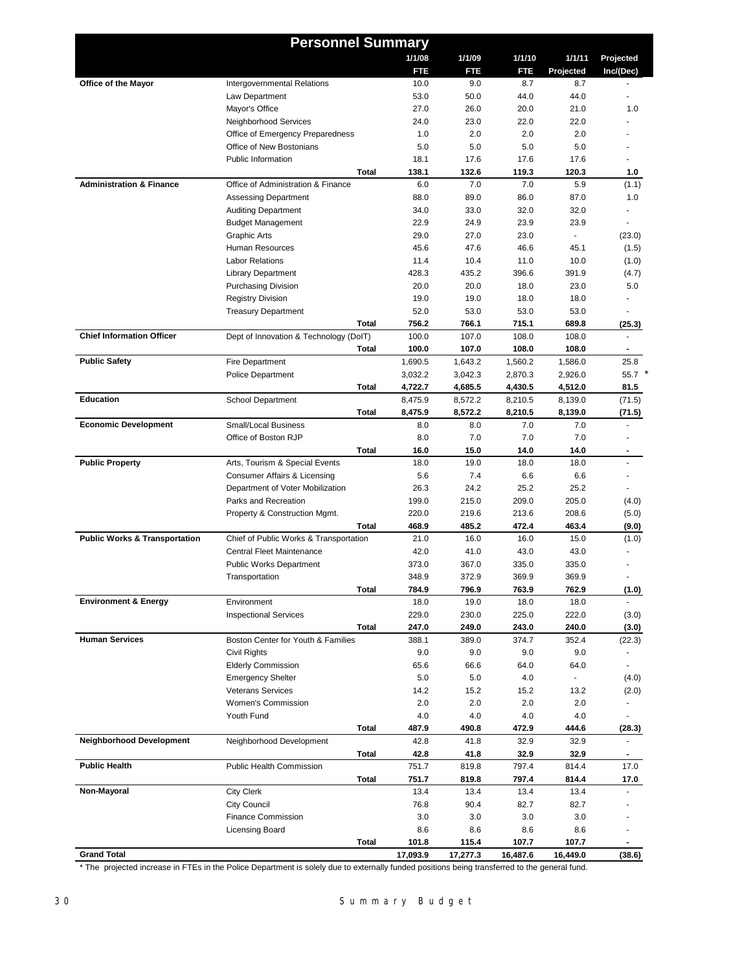|                                          | <b>Personnel Summary</b>               |              |              |              |                             |                          |
|------------------------------------------|----------------------------------------|--------------|--------------|--------------|-----------------------------|--------------------------|
|                                          |                                        | 1/1/08       | 1/1/09       | 1/1/10       | 1/1/11                      | Projected                |
|                                          |                                        | FTE          | FTE          | FTE          | Projected                   | Inc/(Dec)                |
| Office of the Mayor                      | Intergovernmental Relations            | 10.0         | 9.0          | 8.7          | 8.7                         |                          |
|                                          | Law Department                         | 53.0         | 50.0         | 44.0         | 44.0                        |                          |
|                                          | Mayor's Office                         | 27.0         | 26.0         | 20.0         | 21.0                        | 1.0                      |
|                                          | Neighborhood Services                  | 24.0         | 23.0         | 22.0         | 22.0                        |                          |
|                                          | Office of Emergency Preparedness       | 1.0          | 2.0          | 2.0          | 2.0                         |                          |
|                                          | Office of New Bostonians               | 5.0          | 5.0          | 5.0          | 5.0                         |                          |
|                                          | Public Information                     | 18.1         | 17.6         | 17.6         | 17.6                        |                          |
|                                          | <b>Total</b>                           | 138.1        | 132.6        | 119.3        | 120.3                       | 1.0                      |
| <b>Administration &amp; Finance</b>      | Office of Administration & Finance     | 6.0          | 7.0          | 7.0          | 5.9                         | (1.1)                    |
|                                          | <b>Assessing Department</b>            | 88.0         | 89.0         | 86.0         | 87.0                        | 1.0                      |
|                                          | <b>Auditing Department</b>             | 34.0         | 33.0         | 32.0         | 32.0                        |                          |
|                                          | <b>Budget Management</b>               | 22.9         | 24.9         | 23.9         | 23.9                        |                          |
|                                          | <b>Graphic Arts</b>                    | 29.0         | 27.0         | 23.0         | $\mathcal{L}_{\mathcal{A}}$ | (23.0)                   |
|                                          | Human Resources                        | 45.6         | 47.6         | 46.6         | 45.1                        | (1.5)                    |
|                                          | <b>Labor Relations</b>                 | 11.4         | 10.4         | 11.0         | 10.0                        | (1.0)                    |
|                                          | <b>Library Department</b>              | 428.3        | 435.2        | 396.6        | 391.9                       | (4.7)                    |
|                                          | <b>Purchasing Division</b>             | 20.0         | 20.0         | 18.0         | 23.0                        | 5.0                      |
|                                          | <b>Registry Division</b>               | 19.0<br>52.0 | 19.0<br>53.0 | 18.0<br>53.0 | 18.0<br>53.0                |                          |
|                                          | <b>Treasury Department</b><br>Total    | 756.2        | 766.1        | 715.1        | 689.8                       |                          |
| <b>Chief Information Officer</b>         | Dept of Innovation & Technology (DoIT) | 100.0        | 107.0        | 108.0        | 108.0                       | (25.3)                   |
|                                          | Total                                  | 100.0        | 107.0        | 108.0        | 108.0                       |                          |
| <b>Public Safety</b>                     | Fire Department                        | 1,690.5      | 1,643.2      | 1,560.2      | 1,586.0                     | 25.8                     |
|                                          | <b>Police Department</b>               | 3,032.2      | 3,042.3      | 2,870.3      | 2,926.0                     | $55.7$ *                 |
|                                          | Total                                  | 4,722.7      | 4,685.5      | 4,430.5      | 4,512.0                     | 81.5                     |
| <b>Education</b>                         | School Department                      | 8,475.9      | 8,572.2      | 8,210.5      | 8,139.0                     | (71.5)                   |
|                                          | Total                                  | 8,475.9      | 8,572.2      | 8,210.5      | 8,139.0                     | (71.5)                   |
| <b>Economic Development</b>              | <b>Small/Local Business</b>            | 8.0          | 8.0          | 7.0          | 7.0                         |                          |
|                                          | Office of Boston RJP                   | 8.0          | 7.0          | 7.0          | 7.0                         |                          |
|                                          | Total                                  | 16.0         | 15.0         | 14.0         | 14.0                        | $\blacksquare$           |
| <b>Public Property</b>                   | Arts, Tourism & Special Events         | 18.0         | 19.0         | 18.0         | 18.0                        | $\blacksquare$           |
|                                          | Consumer Affairs & Licensing           | 5.6          | 7.4          | 6.6          | 6.6                         |                          |
|                                          | Department of Voter Mobilization       | 26.3         | 24.2         | 25.2         | 25.2                        | $\overline{a}$           |
|                                          | Parks and Recreation                   | 199.0        | 215.0        | 209.0        | 205.0                       | (4.0)                    |
|                                          | Property & Construction Mgmt.          | 220.0        | 219.6        | 213.6        | 208.6                       | (5.0)                    |
|                                          | Total                                  | 468.9        | 485.2        | 472.4        | 463.4                       | (9.0)                    |
| <b>Public Works &amp; Transportation</b> | Chief of Public Works & Transportation | 21.0         | 16.0         | 16.0         | 15.0                        | (1.0)                    |
|                                          | <b>Central Fleet Maintenance</b>       | 42.0         | 41.0         | 43.0         | 43.0                        |                          |
|                                          | <b>Public Works Department</b>         | 373.0        | 367.0        | 335.0        | 335.0                       |                          |
|                                          | Transportation                         | 348.9        | 372.9        | 369.9        | 369.9                       |                          |
|                                          | Total                                  | 784.9        | 796.9        | 763.9        | 762.9                       | (1.0)                    |
| <b>Environment &amp; Energy</b>          | Environment                            | 18.0         | 19.0         | 18.0         | 18.0                        |                          |
|                                          | <b>Inspectional Services</b>           | 229.0        | 230.0        | 225.0        | 222.0                       | (3.0)                    |
|                                          | Total                                  | 247.0        | 249.0        | 243.0        | 240.0                       | (3.0)                    |
| <b>Human Services</b>                    | Boston Center for Youth & Families     | 388.1        | 389.0        | 374.7        | 352.4                       | (22.3)                   |
|                                          | Civil Rights                           | 9.0          | 9.0          | 9.0          | 9.0                         |                          |
|                                          | <b>Elderly Commission</b>              | 65.6         | 66.6         | 64.0         | 64.0                        | $\overline{\phantom{a}}$ |
|                                          | <b>Emergency Shelter</b>               | 5.0          | 5.0          | 4.0          | $\blacksquare$              | (4.0)                    |
|                                          | <b>Veterans Services</b>               | 14.2         | 15.2         | 15.2         | 13.2                        | (2.0)                    |
|                                          | <b>Women's Commission</b>              | 2.0          | 2.0          | 2.0          | 2.0                         |                          |
|                                          | Youth Fund                             | 4.0          | 4.0          | 4.0          | 4.0                         | $\overline{\phantom{a}}$ |
|                                          | <b>Total</b>                           | 487.9        | 490.8        | 472.9        | 444.6                       | (28.3)                   |
| <b>Neighborhood Development</b>          | Neighborhood Development               | 42.8         | 41.8         | 32.9         | 32.9                        |                          |
|                                          | Total                                  | 42.8         | 41.8         | 32.9         | 32.9                        |                          |
| <b>Public Health</b>                     | Public Health Commission               | 751.7        | 819.8        | 797.4        | 814.4                       | 17.0                     |
|                                          | <b>Total</b>                           | 751.7        | 819.8        | 797.4        | 814.4                       | 17.0                     |
| Non-Mayoral                              | <b>City Clerk</b>                      | 13.4         | 13.4         | 13.4         | 13.4                        |                          |
|                                          | <b>City Council</b>                    | 76.8         | 90.4         | 82.7         | 82.7                        |                          |
|                                          | <b>Finance Commission</b>              | 3.0          | 3.0          | 3.0          | 3.0                         |                          |
|                                          | Licensing Board                        | 8.6          | 8.6          | 8.6          | 8.6                         |                          |
|                                          | <b>Total</b>                           | 101.8        | 115.4        | 107.7        | 107.7                       |                          |
| <b>Grand Total</b>                       |                                        | 17,093.9     | 17,277.3     | 16,487.6     | 16,449.0                    | (38.6)                   |

\* The projected increase in FTEs in the Police Department is solely due to externally funded positions being transferred to the general fund.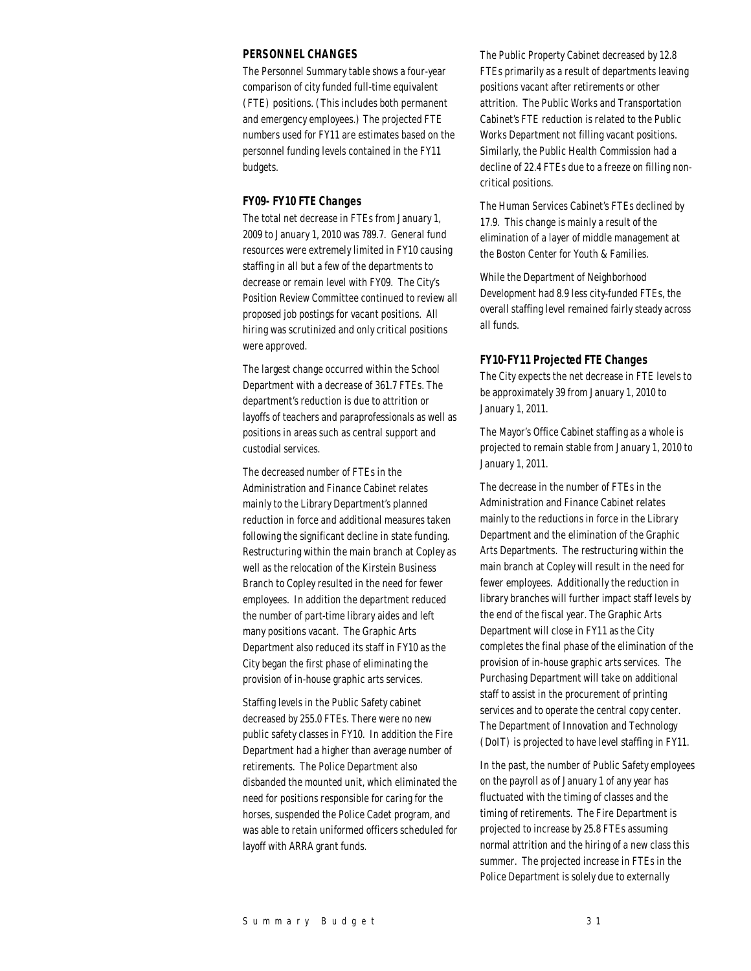## *PERSONNEL CHANGES*

The Personnel Summary table shows a four-year comparison of city funded full-time equivalent (FTE) positions. (This includes both permanent and emergency employees.) The projected FTE numbers used for FY11 are estimates based on the personnel funding levels contained in the FY11 budgets.

## *FY09- FY10 FTE Changes*

The total net decrease in FTEs from January 1, 2009 to January 1, 2010 was 789.7. General fund resources were extremely limited in FY10 causing staffing in all but a few of the departments to decrease or remain level with FY09. The City's Position Review Committee continued to review all proposed job postings for vacant positions. All hiring was scrutinized and only critical positions were approved.

The largest change occurred within the School Department with a decrease of 361.7 FTEs. The department's reduction is due to attrition or layoffs of teachers and paraprofessionals as well as positions in areas such as central support and custodial services.

The decreased number of FTEs in the Administration and Finance Cabinet relates mainly to the Library Department's planned reduction in force and additional measures taken following the significant decline in state funding. Restructuring within the main branch at Copley as well as the relocation of the Kirstein Business Branch to Copley resulted in the need for fewer employees. In addition the department reduced the number of part-time library aides and left many positions vacant. The Graphic Arts Department also reduced its staff in FY10 as the City began the first phase of eliminating the provision of in-house graphic arts services.

Staffing levels in the Public Safety cabinet decreased by 255.0 FTEs. There were no new public safety classes in FY10. In addition the Fire Department had a higher than average number of retirements. The Police Department also disbanded the mounted unit, which eliminated the need for positions responsible for caring for the horses, suspended the Police Cadet program, and was able to retain uniformed officers scheduled for layoff with ARRA grant funds.

The Public Property Cabinet decreased by 12.8 FTEs primarily as a result of departments leaving positions vacant after retirements or other attrition. The Public Works and Transportation Cabinet's FTE reduction is related to the Public Works Department not filling vacant positions. Similarly, the Public Health Commission had a decline of 22.4 FTEs due to a freeze on filling noncritical positions.

The Human Services Cabinet's FTEs declined by 17.9. This change is mainly a result of the elimination of a layer of middle management at the Boston Center for Youth & Families.

While the Department of Neighborhood Development had 8.9 less city-funded FTEs, the overall staffing level remained fairly steady across all funds.

## *FY10-FY11 Projected FTE Changes*

The City expects the net decrease in FTE levels to be approximately 39 from January 1, 2010 to January 1, 2011.

The Mayor's Office Cabinet staffing as a whole is projected to remain stable from January 1, 2010 to January 1, 2011.

The decrease in the number of FTEs in the Administration and Finance Cabinet relates mainly to the reductions in force in the Library Department and the elimination of the Graphic Arts Departments. The restructuring within the main branch at Copley will result in the need for fewer employees. Additionally the reduction in library branches will further impact staff levels by the end of the fiscal year. The Graphic Arts Department will close in FY11 as the City completes the final phase of the elimination of the provision of in-house graphic arts services. The Purchasing Department will take on additional staff to assist in the procurement of printing services and to operate the central copy center. The Department of Innovation and Technology (DoIT) is projected to have level staffing in FY11.

In the past, the number of Public Safety employees on the payroll as of January 1 of any year has fluctuated with the timing of classes and the timing of retirements. The Fire Department is projected to increase by 25.8 FTEs assuming normal attrition and the hiring of a new class this summer. The projected increase in FTEs in the Police Department is solely due to externally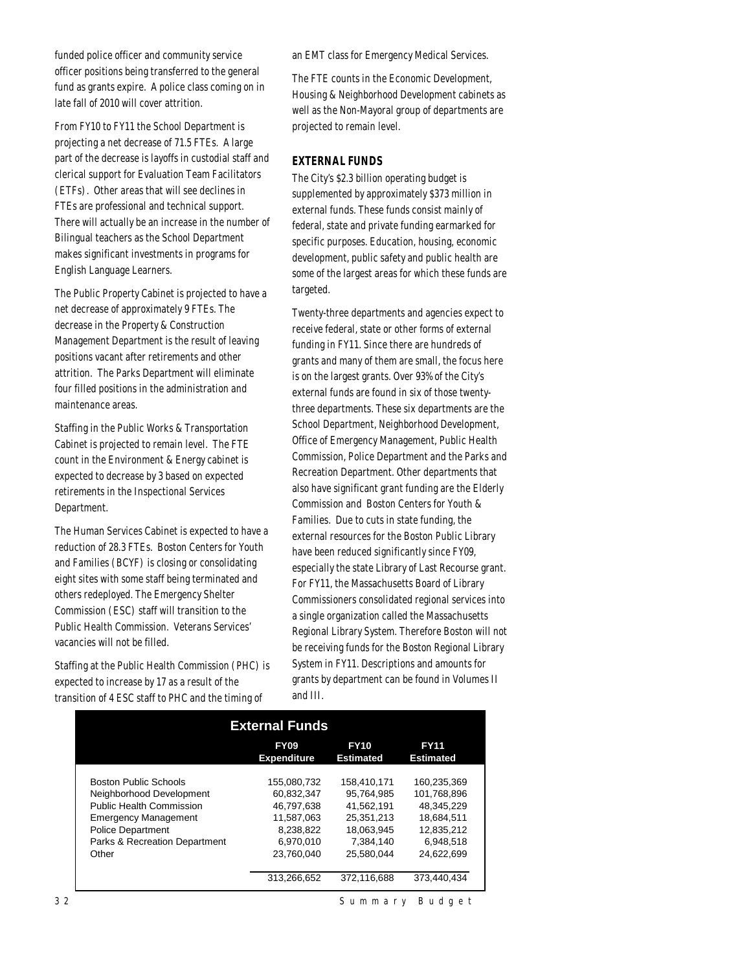funded police officer and community service officer positions being transferred to the general fund as grants expire. A police class coming on in late fall of 2010 will cover attrition.

From FY10 to FY11 the School Department is projecting a net decrease of 71.5 FTEs. A large part of the decrease is layoffs in custodial staff and clerical support for Evaluation Team Facilitators (ETFs). Other areas that will see declines in FTEs are professional and technical support. There will actually be an increase in the number of Bilingual teachers as the School Department makes significant investments in programs for English Language Learners.

The Public Property Cabinet is projected to have a net decrease of approximately 9 FTEs. The decrease in the Property & Construction Management Department is the result of leaving positions vacant after retirements and other attrition. The Parks Department will eliminate four filled positions in the administration and maintenance areas.

Staffing in the Public Works & Transportation Cabinet is projected to remain level. The FTE count in the Environment & Energy cabinet is expected to decrease by 3 based on expected retirements in the Inspectional Services Department.

The Human Services Cabinet is expected to have a reduction of 28.3 FTEs. Boston Centers for Youth and Families (BCYF) is closing or consolidating eight sites with some staff being terminated and others redeployed. The Emergency Shelter Commission (ESC) staff will transition to the Public Health Commission. Veterans Services' vacancies will not be filled.

Staffing at the Public Health Commission (PHC) is expected to increase by 17 as a result of the transition of 4 ESC staff to PHC and the timing of

an EMT class for Emergency Medical Services.

The FTE counts in the Economic Development, Housing & Neighborhood Development cabinets as well as the Non-Mayoral group of departments are projected to remain level.

## *EXTERNAL FUNDS*

The City's \$2.3 billion operating budget is supplemented by approximately \$373 million in external funds. These funds consist mainly of federal, state and private funding earmarked for specific purposes. Education, housing, economic development, public safety and public health are some of the largest areas for which these funds are targeted.

Twenty-three departments and agencies expect to receive federal, state or other forms of external funding in FY11. Since there are hundreds of grants and many of them are small, the focus here is on the largest grants. Over 93% of the City's external funds are found in six of those twentythree departments. These six departments are the School Department, Neighborhood Development, Office of Emergency Management, Public Health Commission, Police Department and the Parks and Recreation Department. Other departments that also have significant grant funding are the Elderly Commission and Boston Centers for Youth & Families. Due to cuts in state funding, the external resources for the Boston Public Library have been reduced significantly since FY09, especially the state Library of Last Recourse grant. For FY11, the Massachusetts Board of Library Commissioners consolidated regional services into a single organization called the Massachusetts Regional Library System. Therefore Boston will not be receiving funds for the Boston Regional Library System in FY11. Descriptions and amounts for grants by department can be found in Volumes II and III.

| <b>External Funds</b>           |                                   |                                 |                                 |  |  |  |
|---------------------------------|-----------------------------------|---------------------------------|---------------------------------|--|--|--|
|                                 | <b>FY09</b><br><b>Expenditure</b> | <b>FY10</b><br><b>Estimated</b> | <b>FY11</b><br><b>Estimated</b> |  |  |  |
| <b>Boston Public Schools</b>    | 155,080,732                       | 158.410.171                     | 160.235.369                     |  |  |  |
| Neighborhood Development        | 60.832.347                        | 95,764,985                      | 101,768,896                     |  |  |  |
| <b>Public Health Commission</b> | 46.797.638                        | 41,562,191                      | 48,345,229                      |  |  |  |
| <b>Emergency Management</b>     | 11.587.063                        | 25.351.213                      | 18.684.511                      |  |  |  |
| <b>Police Department</b>        | 8,238,822                         | 18.063.945                      | 12.835.212                      |  |  |  |
| Parks & Recreation Department   | 6,970,010                         | 7,384,140                       | 6,948,518                       |  |  |  |
| Other                           | 23.760.040                        | 25.580.044                      | 24.622.699                      |  |  |  |
|                                 | 313,266,652                       | 372,116,688                     | 373.440.434                     |  |  |  |
|                                 |                                   | S.<br>ummary                    | Budget                          |  |  |  |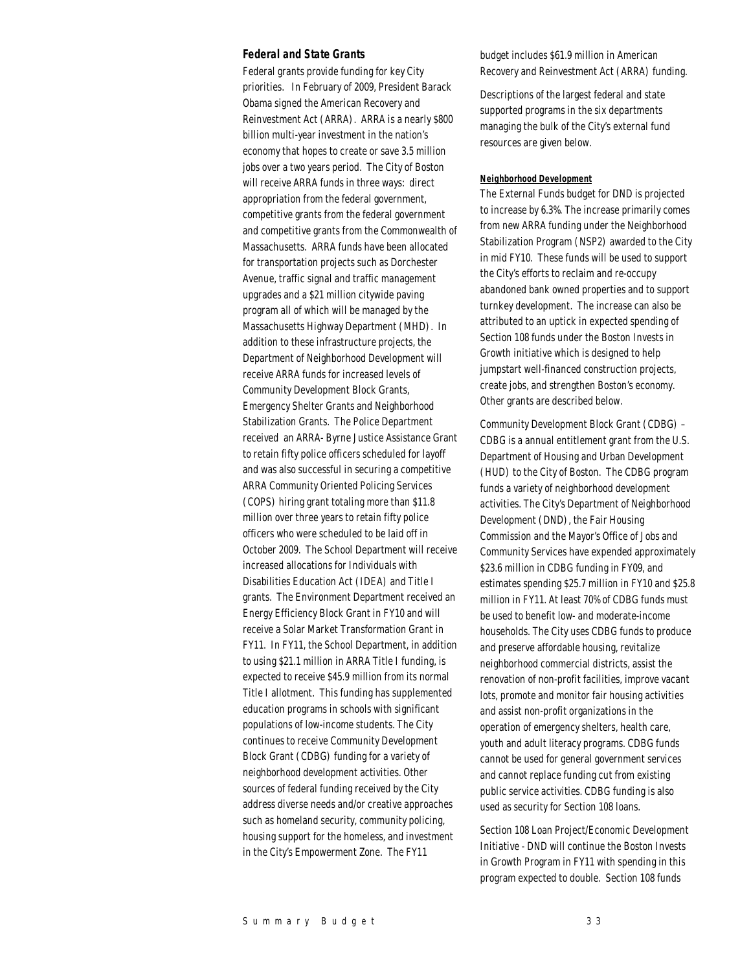#### *Federal and State Grants*

Federal grants provide funding for key City priorities. In February of 2009, President Barack Obama signed the American Recovery and Reinvestment Act (ARRA). ARRA is a nearly \$800 billion multi-year investment in the nation's economy that hopes to create or save 3.5 million jobs over a two years period. The City of Boston will receive ARRA funds in three ways: direct appropriation from the federal government, competitive grants from the federal government and competitive grants from the Commonwealth of Massachusetts. ARRA funds have been allocated for transportation projects such as Dorchester Avenue, traffic signal and traffic management upgrades and a \$21 million citywide paving program all of which will be managed by the Massachusetts Highway Department (MHD). In addition to these infrastructure projects, the Department of Neighborhood Development will receive ARRA funds for increased levels of Community Development Block Grants, Emergency Shelter Grants and Neighborhood Stabilization Grants. The Police Department received an ARRA- Byrne Justice Assistance Grant to retain fifty police officers scheduled for layoff and was also successful in securing a competitive ARRA Community Oriented Policing Services (COPS) hiring grant totaling more than \$11.8 million over three years to retain fifty police officers who were scheduled to be laid off in October 2009. The School Department will receive increased allocations for Individuals with Disabilities Education Act (IDEA) and Title I grants. The Environment Department received an Energy Efficiency Block Grant in FY10 and will receive a Solar Market Transformation Grant in FY11. In FY11, the School Department, in addition to using \$21.1 million in ARRA Title I funding, is expected to receive \$45.9 million from its normal Title I allotment. This funding has supplemented education programs in schools with significant populations of low-income students. The City continues to receive Community Development Block Grant (CDBG) funding for a variety of neighborhood development activities. Other sources of federal funding received by the City address diverse needs and/or creative approaches such as homeland security, community policing, housing support for the homeless, and investment in the City's Empowerment Zone. The FY11

budget includes \$61.9 million in American Recovery and Reinvestment Act (ARRA) funding.

Descriptions of the largest federal and state supported programs in the six departments managing the bulk of the City's external fund resources are given below.

#### *Neighborhood Development*

The External Funds budget for DND is projected to increase by 6.3%. The increase primarily comes from new ARRA funding under the Neighborhood Stabilization Program (NSP2) awarded to the City in mid FY10. These funds will be used to support the City's efforts to reclaim and re-occupy abandoned bank owned properties and to support turnkey development. The increase can also be attributed to an uptick in expected spending of Section 108 funds under the Boston Invests in Growth initiative which is designed to help jumpstart well-financed construction projects, create jobs, and strengthen Boston's economy. Other grants are described below.

Community Development Block Grant (CDBG) – CDBG is a annual entitlement grant from the U.S. Department of Housing and Urban Development (HUD) to the City of Boston. The CDBG program funds a variety of neighborhood development activities. The City's Department of Neighborhood Development (DND), the Fair Housing Commission and the Mayor's Office of Jobs and Community Services have expended approximately \$23.6 million in CDBG funding in FY09, and estimates spending \$25.7 million in FY10 and \$25.8 million in FY11. At least 70% of CDBG funds must be used to benefit low- and moderate-income households. The City uses CDBG funds to produce and preserve affordable housing, revitalize neighborhood commercial districts, assist the renovation of non-profit facilities, improve vacant lots, promote and monitor fair housing activities and assist non-profit organizations in the operation of emergency shelters, health care, youth and adult literacy programs. CDBG funds cannot be used for general government services and cannot replace funding cut from existing public service activities. CDBG funding is also used as security for Section 108 loans.

Section 108 Loan Project/Economic Development Initiative - DND will continue the Boston Invests in Growth Program in FY11 with spending in this program expected to double. Section 108 funds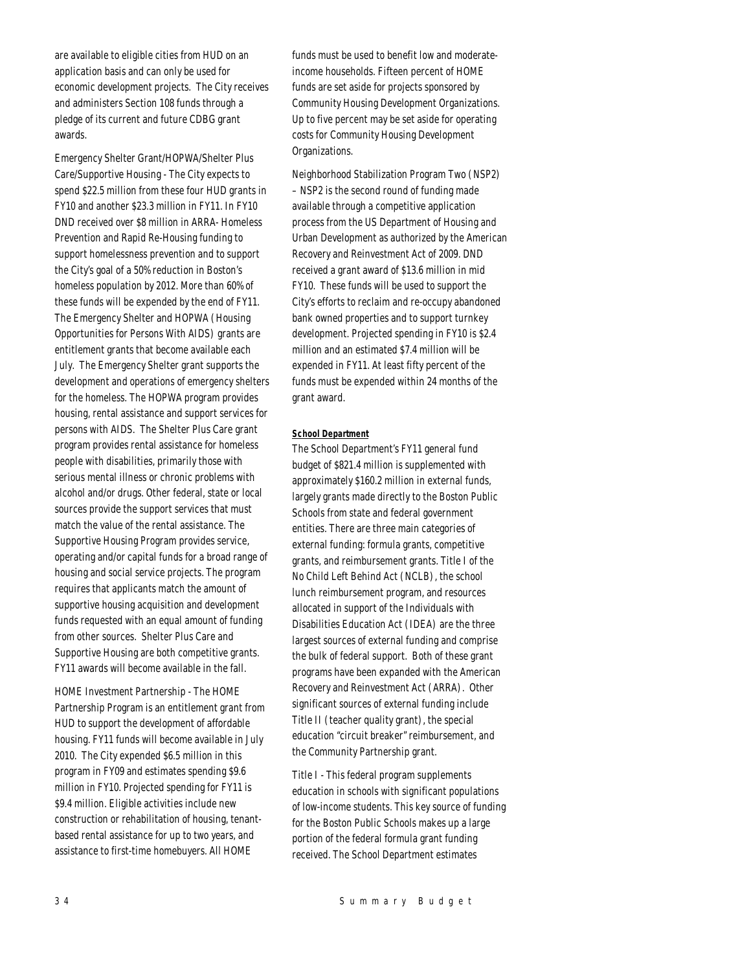are available to eligible cities from HUD on an application basis and can only be used for economic development projects. The City receives and administers Section 108 funds through a pledge of its current and future CDBG grant awards.

Emergency Shelter Grant/HOPWA/Shelter Plus Care/Supportive Housing - The City expects to spend \$22.5 million from these four HUD grants in FY10 and another \$23.3 million in FY11. In FY10 DND received over \$8 million in ARRA- Homeless Prevention and Rapid Re-Housing funding to support homelessness prevention and to support the City's goal of a 50% reduction in Boston's homeless population by 2012. More than 60% of these funds will be expended by the end of FY11. The Emergency Shelter and HOPWA (Housing Opportunities for Persons With AIDS) grants are entitlement grants that become available each July. The Emergency Shelter grant supports the development and operations of emergency shelters for the homeless. The HOPWA program provides housing, rental assistance and support services for persons with AIDS. The Shelter Plus Care grant program provides rental assistance for homeless people with disabilities, primarily those with serious mental illness or chronic problems with alcohol and/or drugs. Other federal, state or local sources provide the support services that must match the value of the rental assistance. The Supportive Housing Program provides service, operating and/or capital funds for a broad range of housing and social service projects. The program requires that applicants match the amount of supportive housing acquisition and development funds requested with an equal amount of funding from other sources. Shelter Plus Care and Supportive Housing are both competitive grants. FY11 awards will become available in the fall.

HOME Investment Partnership - The HOME Partnership Program is an entitlement grant from HUD to support the development of affordable housing. FY11 funds will become available in July 2010. The City expended \$6.5 million in this program in FY09 and estimates spending \$9.6 million in FY10. Projected spending for FY11 is \$9.4 million. Eligible activities include new construction or rehabilitation of housing, tenantbased rental assistance for up to two years, and assistance to first-time homebuyers. All HOME

funds must be used to benefit low and moderateincome households. Fifteen percent of HOME funds are set aside for projects sponsored by Community Housing Development Organizations. Up to five percent may be set aside for operating costs for Community Housing Development Organizations.

Neighborhood Stabilization Program Two (NSP2) – NSP2 is the second round of funding made available through a competitive application process from the US Department of Housing and Urban Development as authorized by the American Recovery and Reinvestment Act of 2009. DND received a grant award of \$13.6 million in mid FY10. These funds will be used to support the City's efforts to reclaim and re-occupy abandoned bank owned properties and to support turnkey development. Projected spending in FY10 is \$2.4 million and an estimated \$7.4 million will be expended in FY11. At least fifty percent of the funds must be expended within 24 months of the grant award.

## *School Department*

The School Department's FY11 general fund budget of \$821.4 million is supplemented with approximately \$160.2 million in external funds, largely grants made directly to the Boston Public Schools from state and federal government entities. There are three main categories of external funding: formula grants, competitive grants, and reimbursement grants. Title I of the No Child Left Behind Act (NCLB), the school lunch reimbursement program, and resources allocated in support of the Individuals with Disabilities Education Act (IDEA) are the three largest sources of external funding and comprise the bulk of federal support. Both of these grant programs have been expanded with the American Recovery and Reinvestment Act (ARRA). Other significant sources of external funding include Title II (teacher quality grant), the special education "circuit breaker" reimbursement, and the Community Partnership grant.

Title I - This federal program supplements education in schools with significant populations of low-income students. This key source of funding for the Boston Public Schools makes up a large portion of the federal formula grant funding received. The School Department estimates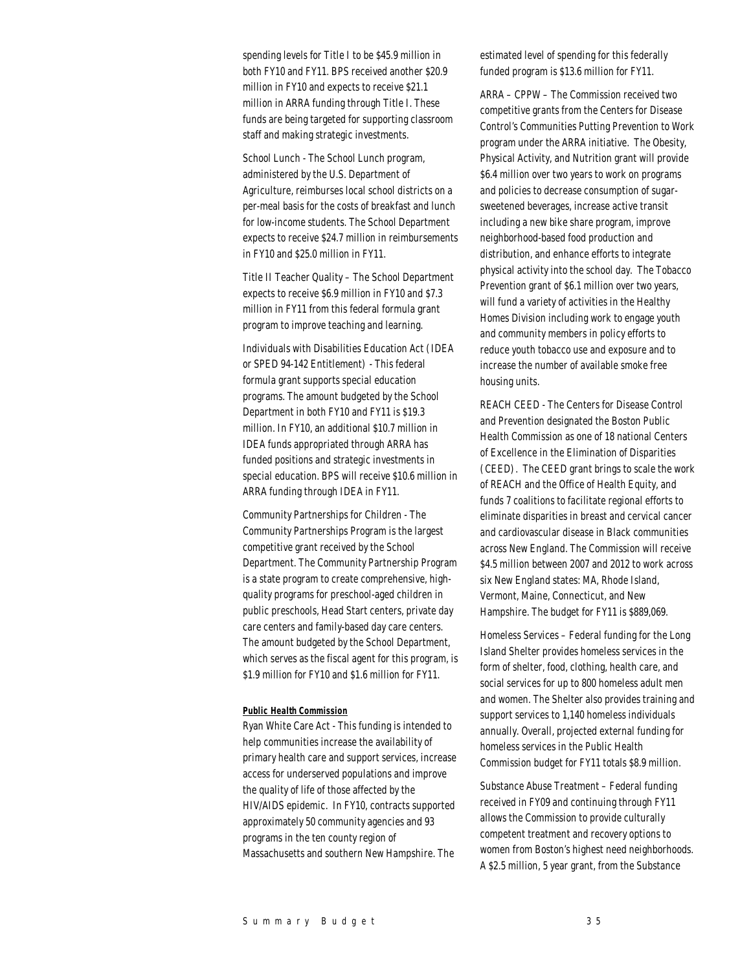spending levels for Title I to be \$45.9 million in both FY10 and FY11. BPS received another \$20.9 million in FY10 and expects to receive \$21.1 million in ARRA funding through Title I. These funds are being targeted for supporting classroom staff and making strategic investments.

School Lunch - The School Lunch program, administered by the U.S. Department of Agriculture, reimburses local school districts on a per-meal basis for the costs of breakfast and lunch for low-income students. The School Department expects to receive \$24.7 million in reimbursements in FY10 and \$25.0 million in FY11.

Title II Teacher Quality – The School Department expects to receive \$6.9 million in FY10 and \$7.3 million in FY11 from this federal formula grant program to improve teaching and learning.

Individuals with Disabilities Education Act (IDEA or SPED 94-142 Entitlement) - This federal formula grant supports special education programs. The amount budgeted by the School Department in both FY10 and FY11 is \$19.3 million. In FY10, an additional \$10.7 million in IDEA funds appropriated through ARRA has funded positions and strategic investments in special education. BPS will receive \$10.6 million in ARRA funding through IDEA in FY11.

Community Partnerships for Children - The Community Partnerships Program is the largest competitive grant received by the School Department. The Community Partnership Program is a state program to create comprehensive, highquality programs for preschool-aged children in public preschools, Head Start centers, private day care centers and family-based day care centers. The amount budgeted by the School Department, which serves as the fiscal agent for this program, is \$1.9 million for FY10 and \$1.6 million for FY11.

#### *Public Health Commission*

Ryan White Care Act - This funding is intended to help communities increase the availability of primary health care and support services, increase access for underserved populations and improve the quality of life of those affected by the HIV/AIDS epidemic. In FY10, contracts supported approximately 50 community agencies and 93 programs in the ten county region of Massachusetts and southern New Hampshire. The

estimated level of spending for this federally funded program is \$13.6 million for FY11.

ARRA – CPPW – The Commission received two competitive grants from the Centers for Disease Control's Communities Putting Prevention to Work program under the ARRA initiative. The Obesity, Physical Activity, and Nutrition grant will provide \$6.4 million over two years to work on programs and policies to decrease consumption of sugarsweetened beverages, increase active transit including a new bike share program, improve neighborhood-based food production and distribution, and enhance efforts to integrate physical activity into the school day. The Tobacco Prevention grant of \$6.1 million over two years, will fund a variety of activities in the Healthy Homes Division including work to engage youth and community members in policy efforts to reduce youth tobacco use and exposure and to increase the number of available smoke free housing units.

REACH CEED - The Centers for Disease Control and Prevention designated the Boston Public Health Commission as one of 18 national Centers of Excellence in the Elimination of Disparities (CEED). The CEED grant brings to scale the work of REACH and the Office of Health Equity, and funds 7 coalitions to facilitate regional efforts to eliminate disparities in breast and cervical cancer and cardiovascular disease in Black communities across New England. The Commission will receive \$4.5 million between 2007 and 2012 to work across six New England states: MA, Rhode Island, Vermont, Maine, Connecticut, and New Hampshire. The budget for FY11 is \$889,069.

Homeless Services – Federal funding for the Long Island Shelter provides homeless services in the form of shelter, food, clothing, health care, and social services for up to 800 homeless adult men and women. The Shelter also provides training and support services to 1,140 homeless individuals annually. Overall, projected external funding for homeless services in the Public Health Commission budget for FY11 totals \$8.9 million.

Substance Abuse Treatment – Federal funding received in FY09 and continuing through FY11 allows the Commission to provide culturally competent treatment and recovery options to women from Boston's highest need neighborhoods. A \$2.5 million, 5 year grant, from the Substance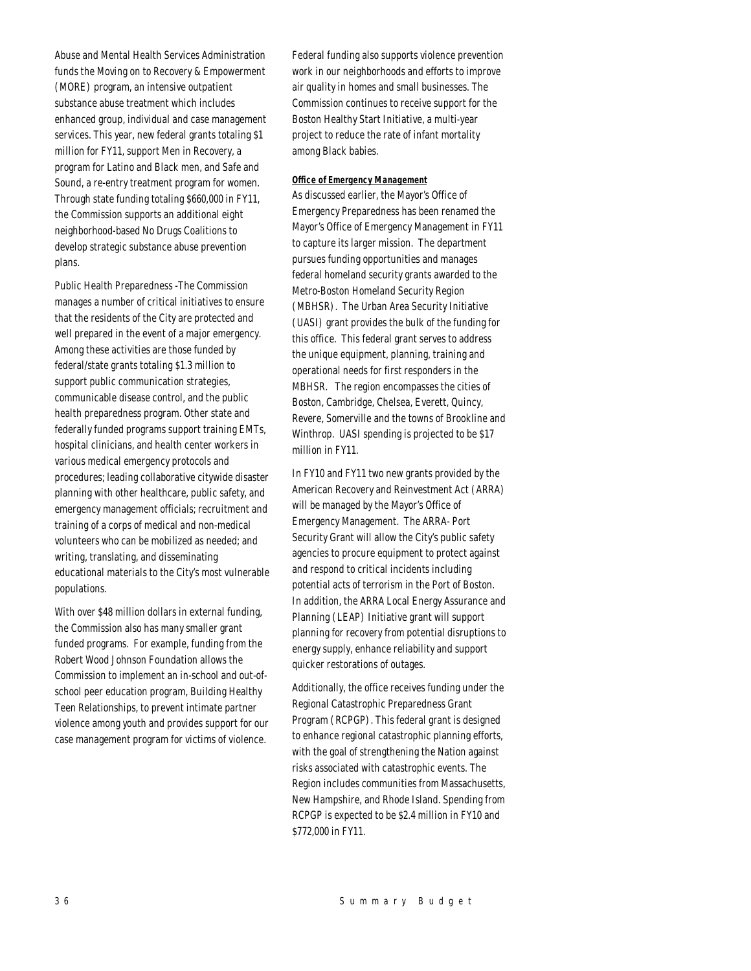Abuse and Mental Health Services Administration funds the Moving on to Recovery & Empowerment (MORE) program, an intensive outpatient substance abuse treatment which includes enhanced group, individual and case management services. This year, new federal grants totaling \$1 million for FY11, support Men in Recovery, a program for Latino and Black men, and Safe and Sound, a re-entry treatment program for women. Through state funding totaling \$660,000 in FY11, the Commission supports an additional eight neighborhood-based No Drugs Coalitions to develop strategic substance abuse prevention plans.

Public Health Preparedness -The Commission manages a number of critical initiatives to ensure that the residents of the City are protected and well prepared in the event of a major emergency. Among these activities are those funded by federal/state grants totaling \$1.3 million to support public communication strategies, communicable disease control, and the public health preparedness program. Other state and federally funded programs support training EMTs, hospital clinicians, and health center workers in various medical emergency protocols and procedures; leading collaborative citywide disaster planning with other healthcare, public safety, and emergency management officials; recruitment and training of a corps of medical and non-medical volunteers who can be mobilized as needed; and writing, translating, and disseminating educational materials to the City's most vulnerable populations.

With over \$48 million dollars in external funding, the Commission also has many smaller grant funded programs. For example, funding from the Robert Wood Johnson Foundation allows the Commission to implement an in-school and out-ofschool peer education program, Building Healthy Teen Relationships, to prevent intimate partner violence among youth and provides support for our case management program for victims of violence.

Federal funding also supports violence prevention work in our neighborhoods and efforts to improve air quality in homes and small businesses. The Commission continues to receive support for the Boston Healthy Start Initiative, a multi-year project to reduce the rate of infant mortality among Black babies.

#### *Office of Emergency Management*

As discussed earlier, the Mayor's Office of Emergency Preparedness has been renamed the Mayor's Office of Emergency Management in FY11 to capture its larger mission. The department pursues funding opportunities and manages federal homeland security grants awarded to the Metro-Boston Homeland Security Region (MBHSR). The Urban Area Security Initiative (UASI) grant provides the bulk of the funding for this office. This federal grant serves to address the unique equipment, planning, training and operational needs for first responders in the MBHSR. The region encompasses the cities of Boston, Cambridge, Chelsea, Everett, Quincy, Revere, Somerville and the towns of Brookline and Winthrop. UASI spending is projected to be \$17 million in FY11.

In FY10 and FY11 two new grants provided by the American Recovery and Reinvestment Act (ARRA) will be managed by the Mayor's Office of Emergency Management. The ARRA- Port Security Grant will allow the City's public safety agencies to procure equipment to protect against and respond to critical incidents including potential acts of terrorism in the Port of Boston. In addition, the ARRA Local Energy Assurance and Planning (LEAP) Initiative grant will support planning for recovery from potential disruptions to energy supply, enhance reliability and support quicker restorations of outages.

Additionally, the office receives funding under the Regional Catastrophic Preparedness Grant Program (RCPGP). This federal grant is designed to enhance regional catastrophic planning efforts, with the goal of strengthening the Nation against risks associated with catastrophic events. The Region includes communities from Massachusetts, New Hampshire, and Rhode Island. Spending from RCPGP is expected to be \$2.4 million in FY10 and \$772,000 in FY11.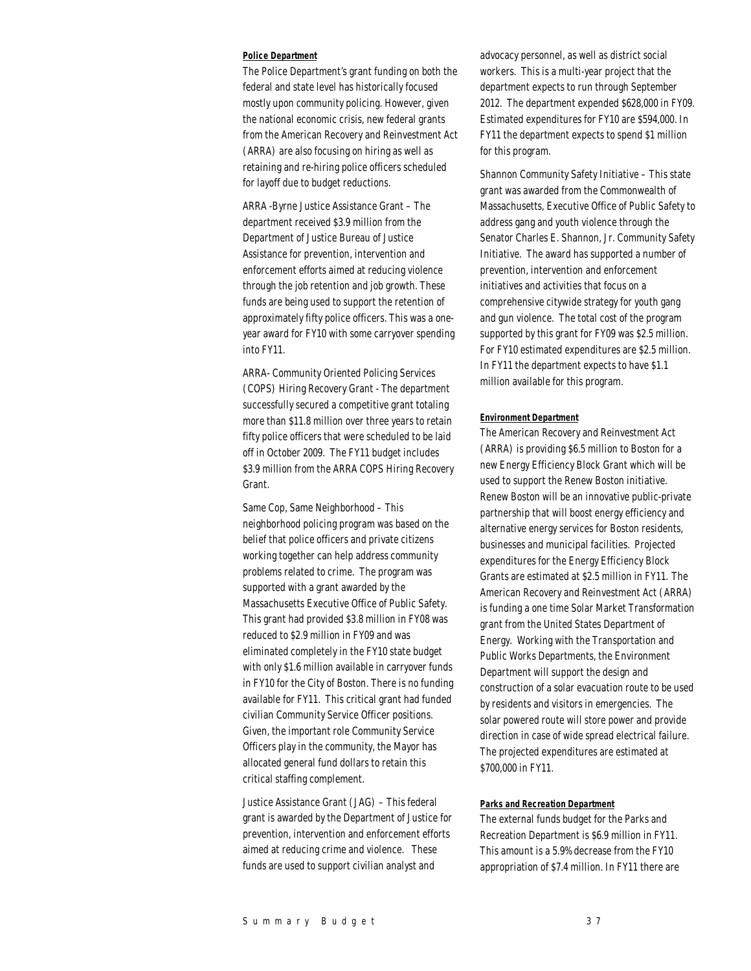#### *Police Department*

The Police Department's grant funding on both the federal and state level has historically focused mostly upon community policing. However, given the national economic crisis, new federal grants from the American Recovery and Reinvestment Act (ARRA) are also focusing on hiring as well as retaining and re-hiring police officers scheduled for layoff due to budget reductions.

ARRA -Byrne Justice Assistance Grant – The department received \$3.9 million from the Department of Justice Bureau of Justice Assistance for prevention, intervention and enforcement efforts aimed at reducing violence through the job retention and job growth. These funds are being used to support the retention of approximately fifty police officers. This was a oneyear award for FY10 with some carryover spending into FY11.

ARRA- Community Oriented Policing Services (COPS) Hiring Recovery Grant - The department successfully secured a competitive grant totaling more than \$11.8 million over three years to retain fifty police officers that were scheduled to be laid off in October 2009. The FY11 budget includes \$3.9 million from the ARRA COPS Hiring Recovery Grant.

Same Cop, Same Neighborhood – This neighborhood policing program was based on the belief that police officers and private citizens working together can help address community problems related to crime. The program was supported with a grant awarded by the Massachusetts Executive Office of Public Safety. This grant had provided \$3.8 million in FY08 was reduced to \$2.9 million in FY09 and was eliminated completely in the FY10 state budget with only \$1.6 million available in carryover funds in FY10 for the City of Boston. There is no funding available for FY11. This critical grant had funded civilian Community Service Officer positions. Given, the important role Community Service Officers play in the community, the Mayor has allocated general fund dollars to retain this critical staffing complement.

Justice Assistance Grant (JAG) – This federal grant is awarded by the Department of Justice for prevention, intervention and enforcement efforts aimed at reducing crime and violence. These funds are used to support civilian analyst and

advocacy personnel, as well as district social workers. This is a multi-year project that the department expects to run through September 2012. The department expended \$628,000 in FY09. Estimated expenditures for FY10 are \$594,000. In FY11 the department expects to spend \$1 million for this program.

Shannon Community Safety Initiative – This state grant was awarded from the Commonwealth of Massachusetts, Executive Office of Public Safety to address gang and youth violence through the Senator Charles E. Shannon, Jr. Community Safety Initiative. The award has supported a number of prevention, intervention and enforcement initiatives and activities that focus on a comprehensive citywide strategy for youth gang and gun violence. The total cost of the program supported by this grant for FY09 was \$2.5 million. For FY10 estimated expenditures are \$2.5 million. In FY11 the department expects to have \$1.1 million available for this program.

#### *Environment Department*

The American Recovery and Reinvestment Act (ARRA) is providing \$6.5 million to Boston for a new Energy Efficiency Block Grant which will be used to support the Renew Boston initiative. Renew Boston will be an innovative public-private partnership that will boost energy efficiency and alternative energy services for Boston residents, businesses and municipal facilities. Projected expenditures for the Energy Efficiency Block Grants are estimated at \$2.5 million in FY11. The American Recovery and Reinvestment Act (ARRA) is funding a one time Solar Market Transformation grant from the United States Department of Energy. Working with the Transportation and Public Works Departments, the Environment Department will support the design and construction of a solar evacuation route to be used by residents and visitors in emergencies. The solar powered route will store power and provide direction in case of wide spread electrical failure. The projected expenditures are estimated at \$700,000 in FY11.

#### *Parks and Recreation Department*

The external funds budget for the Parks and Recreation Department is \$6.9 million in FY11. This amount is a 5.9% decrease from the FY10 appropriation of \$7.4 million. In FY11 there are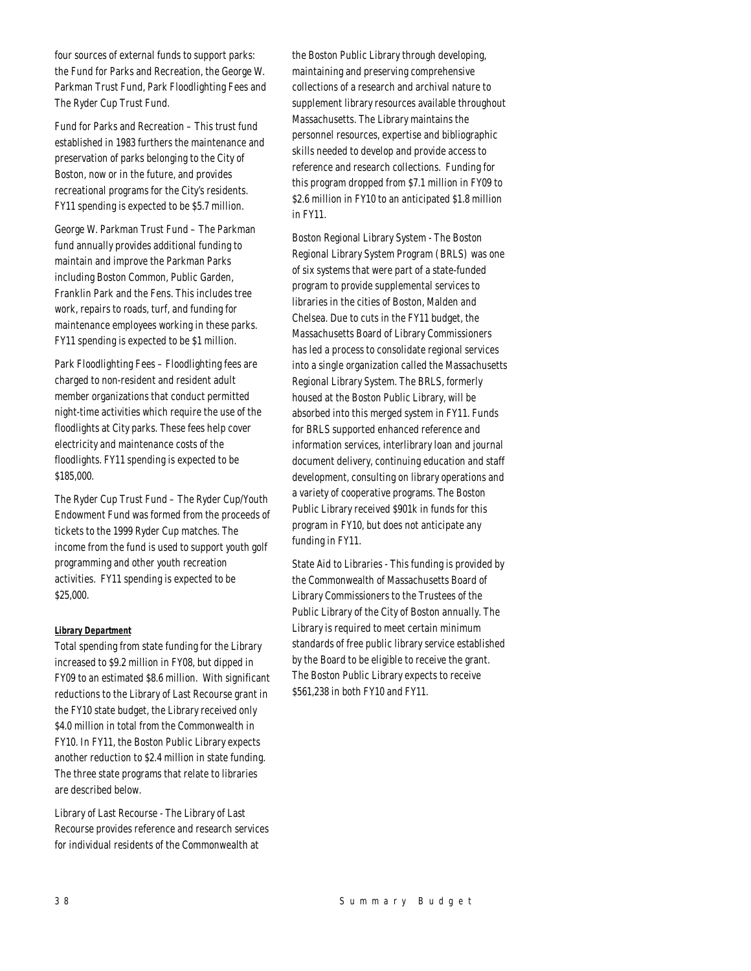four sources of external funds to support parks: the Fund for Parks and Recreation, the George W. Parkman Trust Fund, Park Floodlighting Fees and The Ryder Cup Trust Fund.

Fund for Parks and Recreation – This trust fund established in 1983 furthers the maintenance and preservation of parks belonging to the City of Boston, now or in the future, and provides recreational programs for the City's residents. FY11 spending is expected to be \$5.7 million.

George W. Parkman Trust Fund – The Parkman fund annually provides additional funding to maintain and improve the Parkman Parks including Boston Common, Public Garden, Franklin Park and the Fens. This includes tree work, repairs to roads, turf, and funding for maintenance employees working in these parks. FY11 spending is expected to be \$1 million.

Park Floodlighting Fees – Floodlighting fees are charged to non-resident and resident adult member organizations that conduct permitted night-time activities which require the use of the floodlights at City parks. These fees help cover electricity and maintenance costs of the floodlights. FY11 spending is expected to be \$185,000.

The Ryder Cup Trust Fund – The Ryder Cup/Youth Endowment Fund was formed from the proceeds of tickets to the 1999 Ryder Cup matches. The income from the fund is used to support youth golf programming and other youth recreation activities. FY11 spending is expected to be \$25,000.

#### *Library Department*

Total spending from state funding for the Library increased to \$9.2 million in FY08, but dipped in FY09 to an estimated \$8.6 million. With significant reductions to the Library of Last Recourse grant in the FY10 state budget, the Library received only \$4.0 million in total from the Commonwealth in FY10. In FY11, the Boston Public Library expects another reduction to \$2.4 million in state funding. The three state programs that relate to libraries are described below.

Library of Last Recourse - The Library of Last Recourse provides reference and research services for individual residents of the Commonwealth at

the Boston Public Library through developing, maintaining and preserving comprehensive collections of a research and archival nature to supplement library resources available throughout Massachusetts. The Library maintains the personnel resources, expertise and bibliographic skills needed to develop and provide access to reference and research collections. Funding for this program dropped from \$7.1 million in FY09 to \$2.6 million in FY10 to an anticipated \$1.8 million in FY11.

Boston Regional Library System - The Boston Regional Library System Program (BRLS) was one of six systems that were part of a state-funded program to provide supplemental services to libraries in the cities of Boston, Malden and Chelsea. Due to cuts in the FY11 budget, the Massachusetts Board of Library Commissioners has led a process to consolidate regional services into a single organization called the Massachusetts Regional Library System. The BRLS, formerly housed at the Boston Public Library, will be absorbed into this merged system in FY11. Funds for BRLS supported enhanced reference and information services, interlibrary loan and journal document delivery, continuing education and staff development, consulting on library operations and a variety of cooperative programs. The Boston Public Library received \$901k in funds for this program in FY10, but does not anticipate any funding in FY11.

State Aid to Libraries - This funding is provided by the Commonwealth of Massachusetts Board of Library Commissioners to the Trustees of the Public Library of the City of Boston annually. The Library is required to meet certain minimum standards of free public library service established by the Board to be eligible to receive the grant. The Boston Public Library expects to receive \$561,238 in both FY10 and FY11.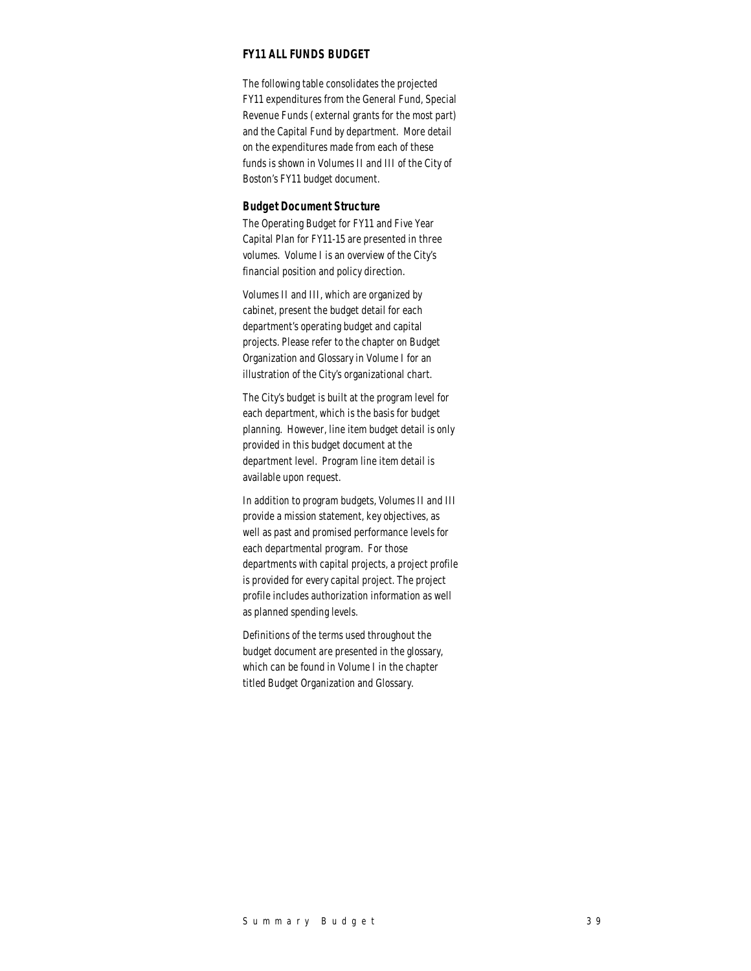## *FY11 ALL FUNDS BUDGET*

The following table consolidates the projected FY11 expenditures from the General Fund, Special Revenue Funds (external grants for the most part) and the Capital Fund by department. More detail on the expenditures made from each of these funds is shown in Volumes II and III of the City of Boston's FY11 budget document.

#### *Budget Document Structure*

The Operating Budget for FY11 and Five Year Capital Plan for FY11-15 are presented in three volumes. Volume I is an overview of the City's financial position and policy direction.

Volumes II and III, which are organized by cabinet, present the budget detail for each department's operating budget and capital projects. Please refer to the chapter on Budget Organization and Glossary in Volume I for an illustration of the City's organizational chart.

The City's budget is built at the program level for each department, which is the basis for budget planning. However, line item budget detail is only provided in this budget document at the department level. Program line item detail is available upon request.

In addition to program budgets, Volumes II and III provide a mission statement, key objectives, as well as past and promised performance levels for each departmental program. For those departments with capital projects, a project profile is provided for every capital project. The project profile includes authorization information as well as planned spending levels.

Definitions of the terms used throughout the budget document are presented in the glossary, which can be found in Volume I in the chapter titled Budget Organization and Glossary.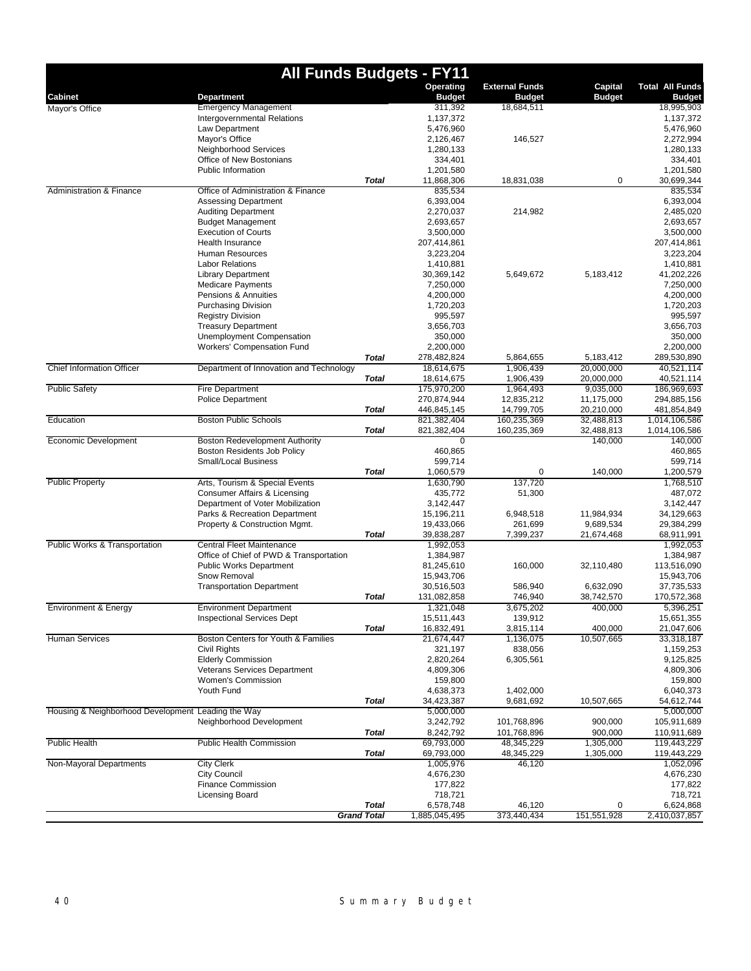| <b>All Funds Budgets - FY11</b>                    |                                                                  |                    |                            |                                        |                          |                                         |  |  |
|----------------------------------------------------|------------------------------------------------------------------|--------------------|----------------------------|----------------------------------------|--------------------------|-----------------------------------------|--|--|
| <b>Cabinet</b>                                     | Department                                                       |                    | Operating<br><b>Budget</b> | <b>External Funds</b><br><b>Budget</b> | Capital<br><b>Budget</b> | <b>Total All Funds</b><br><b>Budget</b> |  |  |
| Mayor's Office                                     | <b>Emergency Management</b>                                      |                    | 311,392                    | 18,684,511                             |                          | 18,995,903                              |  |  |
|                                                    | Intergovernmental Relations                                      |                    | 1,137,372                  |                                        |                          | 1,137,372                               |  |  |
|                                                    | Law Department                                                   |                    | 5,476,960                  |                                        |                          | 5,476,960                               |  |  |
|                                                    | Mayor's Office                                                   |                    | 2,126,467                  | 146,527                                |                          | 2,272,994                               |  |  |
|                                                    | Neighborhood Services                                            |                    | 1,280,133                  |                                        |                          | 1,280,133                               |  |  |
|                                                    | Office of New Bostonians                                         |                    | 334,401                    |                                        |                          | 334,401                                 |  |  |
|                                                    | Public Information                                               |                    | 1,201,580                  |                                        |                          | 1,201,580                               |  |  |
|                                                    | Office of Administration & Finance                               | <b>Total</b>       | 11,868,306                 | 18,831,038                             | 0                        | 30,699,344<br>835.534                   |  |  |
| <b>Administration &amp; Finance</b>                | <b>Assessing Department</b>                                      |                    | 835,534<br>6,393,004       |                                        |                          | 6,393,004                               |  |  |
|                                                    | <b>Auditing Department</b>                                       |                    | 2,270,037                  | 214,982                                |                          | 2,485,020                               |  |  |
|                                                    | <b>Budget Management</b>                                         |                    | 2,693,657                  |                                        |                          | 2,693,657                               |  |  |
|                                                    | <b>Execution of Courts</b>                                       |                    | 3,500,000                  |                                        |                          | 3,500,000                               |  |  |
|                                                    | Health Insurance                                                 |                    | 207,414,861                |                                        |                          | 207,414,861                             |  |  |
|                                                    | Human Resources                                                  |                    | 3,223,204                  |                                        |                          | 3,223,204                               |  |  |
|                                                    | <b>Labor Relations</b>                                           |                    | 1,410,881                  |                                        |                          | 1,410,881                               |  |  |
|                                                    | <b>Library Department</b>                                        |                    | 30,369,142                 | 5,649,672                              | 5,183,412                | 41,202,226                              |  |  |
|                                                    | <b>Medicare Payments</b>                                         |                    | 7,250,000                  |                                        |                          | 7,250,000                               |  |  |
|                                                    | Pensions & Annuities                                             |                    | 4,200,000                  |                                        |                          | 4,200,000                               |  |  |
|                                                    | <b>Purchasing Division</b>                                       |                    | 1,720,203                  |                                        |                          | 1,720,203                               |  |  |
|                                                    | <b>Registry Division</b>                                         |                    | 995,597                    |                                        |                          | 995,597                                 |  |  |
|                                                    | <b>Treasury Department</b>                                       |                    | 3,656,703                  |                                        |                          | 3,656,703                               |  |  |
|                                                    | <b>Unemployment Compensation</b>                                 |                    | 350,000                    |                                        |                          | 350,000                                 |  |  |
|                                                    | <b>Workers' Compensation Fund</b>                                | <b>Total</b>       | 2,200,000<br>278,482,824   | 5,864,655                              | 5,183,412                | 2,200,000<br>289,530,890                |  |  |
| <b>Chief Information Officer</b>                   | Department of Innovation and Technology                          |                    | 18,614,675                 | 1,906,439                              | 20,000,000               | 40,521,114                              |  |  |
|                                                    |                                                                  | <b>Total</b>       | 18,614,675                 | 1,906,439                              | 20,000,000               | 40,521,114                              |  |  |
| <b>Public Safety</b>                               | <b>Fire Department</b>                                           |                    | 175,970,200                | 1,964,493                              | 9,035,000                | 186,969,693                             |  |  |
|                                                    | <b>Police Department</b>                                         |                    | 270,874,944                | 12,835,212                             | 11,175,000               | 294,885,156                             |  |  |
|                                                    |                                                                  | Total              | 446,845,145                | 14,799,705                             | 20,210,000               | 481,854,849                             |  |  |
| Education                                          | <b>Boston Public Schools</b>                                     |                    | 821,382,404                | 160,235,369                            | 32,488,813               | 1,014,106,586                           |  |  |
|                                                    |                                                                  | <b>Total</b>       | 821,382,404                | 160,235,369                            | 32,488,813               | 1,014,106,586                           |  |  |
| Economic Development                               | <b>Boston Redevelopment Authority</b>                            |                    | 0                          |                                        | 140,000                  | 140,000                                 |  |  |
|                                                    | Boston Residents Job Policy                                      |                    | 460,865                    |                                        |                          | 460,865                                 |  |  |
|                                                    | <b>Small/Local Business</b>                                      |                    | 599,714                    |                                        |                          | 599,714                                 |  |  |
|                                                    |                                                                  | <b>Total</b>       | 1,060,579                  | 0                                      | 140,000                  | 1,200,579                               |  |  |
| <b>Public Property</b>                             | Arts, Tourism & Special Events                                   |                    | 1,630,790                  | 137,720                                |                          | 1,768,510                               |  |  |
|                                                    | Consumer Affairs & Licensing<br>Department of Voter Mobilization |                    | 435,772<br>3,142,447       | 51,300                                 |                          | 487,072<br>3,142,447                    |  |  |
|                                                    | Parks & Recreation Department                                    |                    | 15,196,211                 | 6,948,518                              | 11,984,934               | 34,129,663                              |  |  |
|                                                    | Property & Construction Mgmt.                                    |                    | 19,433,066                 | 261,699                                | 9,689,534                | 29,384,299                              |  |  |
|                                                    |                                                                  | Total              | 39,838,287                 | 7,399,237                              | 21,674,468               | 68,911,991                              |  |  |
| Public Works & Transportation                      | Central Fleet Maintenance                                        |                    | 1,992,053                  |                                        |                          | 1,992,053                               |  |  |
|                                                    | Office of Chief of PWD & Transportation                          |                    | 1,384,987                  |                                        |                          | 1,384,987                               |  |  |
|                                                    | <b>Public Works Department</b>                                   |                    | 81,245,610                 | 160,000                                | 32,110,480               | 113,516,090                             |  |  |
|                                                    | Snow Removal                                                     |                    | 15,943,706                 |                                        |                          | 15,943,706                              |  |  |
|                                                    | <b>Transportation Department</b>                                 |                    | 30,516,503                 | 586,940                                | 6,632,090                | 37,735,533                              |  |  |
|                                                    |                                                                  | Total              | 131,082,858                | 746,940                                | 38,742,570               | 170,572,368                             |  |  |
| <b>Environment &amp; Energy</b>                    | <b>Environment Department</b>                                    |                    | 1,321,048                  | 3,675,202                              | 400,000                  | 5,396,251                               |  |  |
|                                                    | <b>Inspectional Services Dept</b>                                |                    | 15,511,443                 | 139,912                                |                          | 15,651,355<br>21,047,606                |  |  |
| <b>Human Services</b>                              | Boston Centers for Youth & Families                              | <b>Total</b>       | 16,832,491<br>21,674,447   | 3,815,114<br>1,136,075                 | 400,000<br>10,507,665    | 33,318,187                              |  |  |
|                                                    | Civil Rights                                                     |                    | 321,197                    | 838,056                                |                          | 1,159,253                               |  |  |
|                                                    | <b>Elderly Commission</b>                                        |                    | 2,820,264                  | 6,305,561                              |                          | 9,125,825                               |  |  |
|                                                    | Veterans Services Department                                     |                    | 4,809,306                  |                                        |                          | 4,809,306                               |  |  |
|                                                    | Women's Commission                                               |                    | 159,800                    |                                        |                          | 159,800                                 |  |  |
|                                                    | Youth Fund                                                       |                    | 4,638,373                  | 1,402,000                              |                          | 6,040,373                               |  |  |
|                                                    |                                                                  | <b>Total</b>       | 34,423,387                 | 9,681,692                              | 10,507,665               | 54,612,744                              |  |  |
| Housing & Neighborhood Development Leading the Way |                                                                  |                    | 5,000,000                  |                                        |                          | 5,000,000                               |  |  |
|                                                    | Neighborhood Development                                         |                    | 3,242,792                  | 101,768,896                            | 900,000                  | 105,911,689                             |  |  |
|                                                    |                                                                  | <b>Total</b>       | 8,242,792                  | 101,768,896                            | 900,000                  | 110,911,689                             |  |  |
| <b>Public Health</b>                               | <b>Public Health Commission</b>                                  |                    | 69,793,000                 | 48,345,229                             | 1,305,000                | 119,443,229                             |  |  |
|                                                    |                                                                  | <b>Total</b>       | 69,793,000                 | 48,345,229                             | 1,305,000                | 119,443,229                             |  |  |
| Non-Mayoral Departments                            | <b>City Clerk</b>                                                |                    | 1,005,976                  | 46,120                                 |                          | 1,052,096                               |  |  |
|                                                    | <b>City Council</b>                                              |                    | 4,676,230                  |                                        |                          | 4,676,230                               |  |  |
|                                                    | Finance Commission<br><b>Licensing Board</b>                     |                    | 177,822<br>718,721         |                                        |                          | 177,822<br>718,721                      |  |  |
|                                                    |                                                                  | <b>Total</b>       | 6,578,748                  | 46,120                                 | 0                        | 6,624,868                               |  |  |
|                                                    |                                                                  | <b>Grand Total</b> | 1,885,045,495              | 373,440,434                            | 151,551,928              | 2,410,037,857                           |  |  |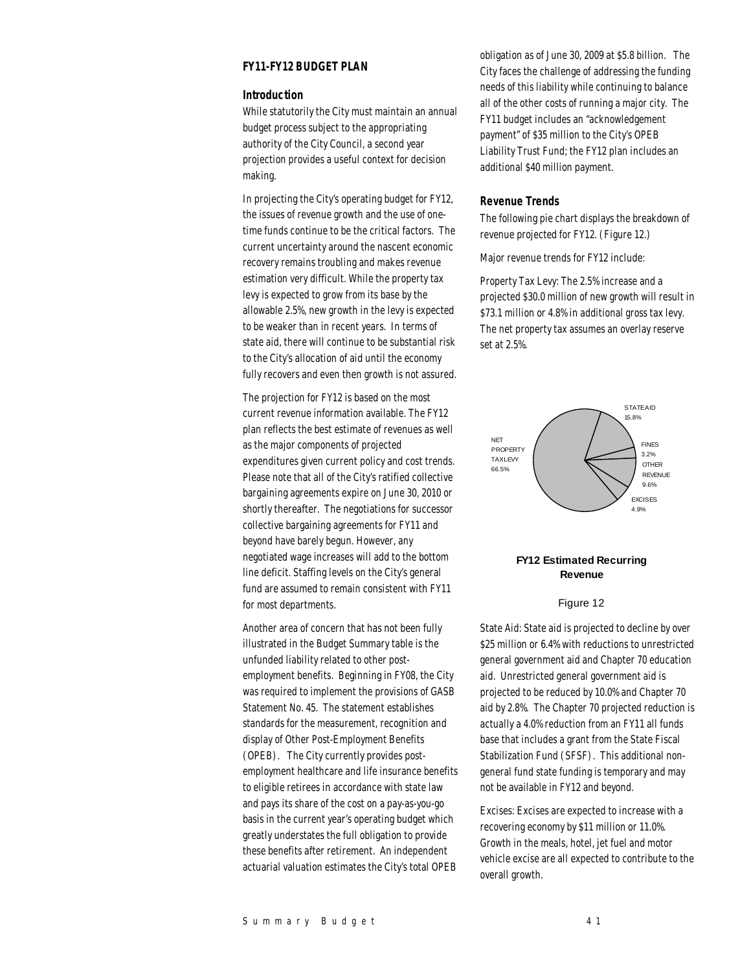## *FY11-FY12 BUDGET PLAN*

#### *Introduction*

While statutorily the City must maintain an annual budget process subject to the appropriating authority of the City Council, a second year projection provides a useful context for decision making.

In projecting the City's operating budget for FY12, the issues of revenue growth and the use of onetime funds continue to be the critical factors. The current uncertainty around the nascent economic recovery remains troubling and makes revenue estimation very difficult. While the property tax levy is expected to grow from its base by the allowable 2.5%, new growth in the levy is expected to be weaker than in recent years. In terms of state aid, there will continue to be substantial risk to the City's allocation of aid until the economy fully recovers and even then growth is not assured.

The projection for FY12 is based on the most current revenue information available. The FY12 plan reflects the best estimate of revenues as well as the major components of projected expenditures given current policy and cost trends. Please note that all of the City's ratified collective bargaining agreements expire on June 30, 2010 or shortly thereafter. The negotiations for successor collective bargaining agreements for FY11 and beyond have barely begun. However, any negotiated wage increases will add to the bottom line deficit. Staffing levels on the City's general fund are assumed to remain consistent with FY11 for most departments.

Another area of concern that has not been fully illustrated in the Budget Summary table is the unfunded liability related to other postemployment benefits. Beginning in FY08, the City was required to implement the provisions of GASB Statement No. 45. The statement establishes standards for the measurement, recognition and display of Other Post-Employment Benefits (OPEB). The City currently provides postemployment healthcare and life insurance benefits to eligible retirees in accordance with state law and pays its share of the cost on a pay-as-you-go basis in the current year's operating budget which greatly understates the full obligation to provide these benefits after retirement. An independent actuarial valuation estimates the City's total OPEB

obligation as of June 30, 2009 at \$5.8 billion. The City faces the challenge of addressing the funding needs of this liability while continuing to balance all of the other costs of running a major city. The FY11 budget includes an "acknowledgement payment" of \$35 million to the City's OPEB Liability Trust Fund; the FY12 plan includes an additional \$40 million payment.

#### *Revenue Trends*

The following pie chart displays the breakdown of revenue projected for FY12. (Figure 12.)

Major revenue trends for FY12 include:

Property Tax Levy: The 2.5% increase and a projected \$30.0 million of new growth will result in \$73.1 million or 4.8% in additional gross tax levy. The net property tax assumes an overlay reserve set at 2.5%.



## **FY12 Estimated Recurring Revenue**

## Figure 12

State Aid: State aid is projected to decline by over \$25 million or 6.4% with reductions to unrestricted general government aid and Chapter 70 education aid. Unrestricted general government aid is projected to be reduced by 10.0% and Chapter 70 aid by 2.8%. The Chapter 70 projected reduction is actually a 4.0% reduction from an FY11 all funds base that includes a grant from the State Fiscal Stabilization Fund (SFSF). This additional nongeneral fund state funding is temporary and may not be available in FY12 and beyond.

Excises: Excises are expected to increase with a recovering economy by \$11 million or 11.0%. Growth in the meals, hotel, jet fuel and motor vehicle excise are all expected to contribute to the overall growth.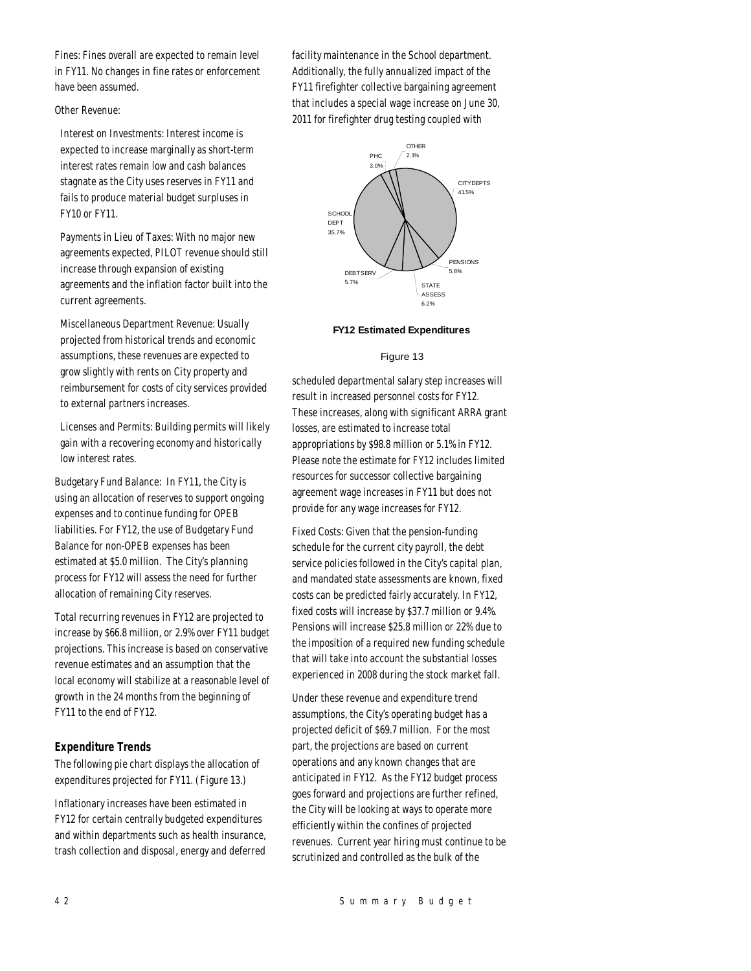Fines: Fines overall are expected to remain level in FY11. No changes in fine rates or enforcement have been assumed.

#### Other Revenue:

Interest on Investments: Interest income is expected to increase marginally as short-term interest rates remain low and cash balances stagnate as the City uses reserves in FY11 and fails to produce material budget surpluses in FY10 or FY11.

Payments in Lieu of Taxes: With no major new agreements expected, PILOT revenue should still increase through expansion of existing agreements and the inflation factor built into the current agreements.

Miscellaneous Department Revenue: Usually projected from historical trends and economic assumptions, these revenues are expected to grow slightly with rents on City property and reimbursement for costs of city services provided to external partners increases.

Licenses and Permits: Building permits will likely gain with a recovering economy and historically low interest rates.

Budgetary Fund Balance: In FY11, the City is using an allocation of reserves to support ongoing expenses and to continue funding for OPEB liabilities. For FY12, the use of Budgetary Fund Balance for non-OPEB expenses has been estimated at \$5.0 million. The City's planning process for FY12 will assess the need for further allocation of remaining City reserves.

Total recurring revenues in FY12 are projected to increase by \$66.8 million, or 2.9% over FY11 budget projections. This increase is based on conservative revenue estimates and an assumption that the local economy will stabilize at a reasonable level of growth in the 24 months from the beginning of FY11 to the end of FY12.

## *Expenditure Trends*

The following pie chart displays the allocation of expenditures projected for FY11. (Figure 13.)

Inflationary increases have been estimated in FY12 for certain centrally budgeted expenditures and within departments such as health insurance, trash collection and disposal, energy and deferred facility maintenance in the School department. Additionally, the fully annualized impact of the FY11 firefighter collective bargaining agreement that includes a special wage increase on June 30, 2011 for firefighter drug testing coupled with



#### **FY12 Estimated Expenditures**

#### Figure 13

scheduled departmental salary step increases will result in increased personnel costs for FY12. These increases, along with significant ARRA grant losses, are estimated to increase total appropriations by \$98.8 million or 5.1% in FY12. Please note the estimate for FY12 includes limited resources for successor collective bargaining agreement wage increases in FY11 but does not provide for any wage increases for FY12.

Fixed Costs: Given that the pension-funding schedule for the current city payroll, the debt service policies followed in the City's capital plan, and mandated state assessments are known, fixed costs can be predicted fairly accurately. In FY12, fixed costs will increase by \$37.7 million or 9.4%. Pensions will increase \$25.8 million or 22% due to the imposition of a required new funding schedule that will take into account the substantial losses experienced in 2008 during the stock market fall.

Under these revenue and expenditure trend assumptions, the City's operating budget has a projected deficit of \$69.7 million. For the most part, the projections are based on current operations and any known changes that are anticipated in FY12. As the FY12 budget process goes forward and projections are further refined, the City will be looking at ways to operate more efficiently within the confines of projected revenues. Current year hiring must continue to be scrutinized and controlled as the bulk of the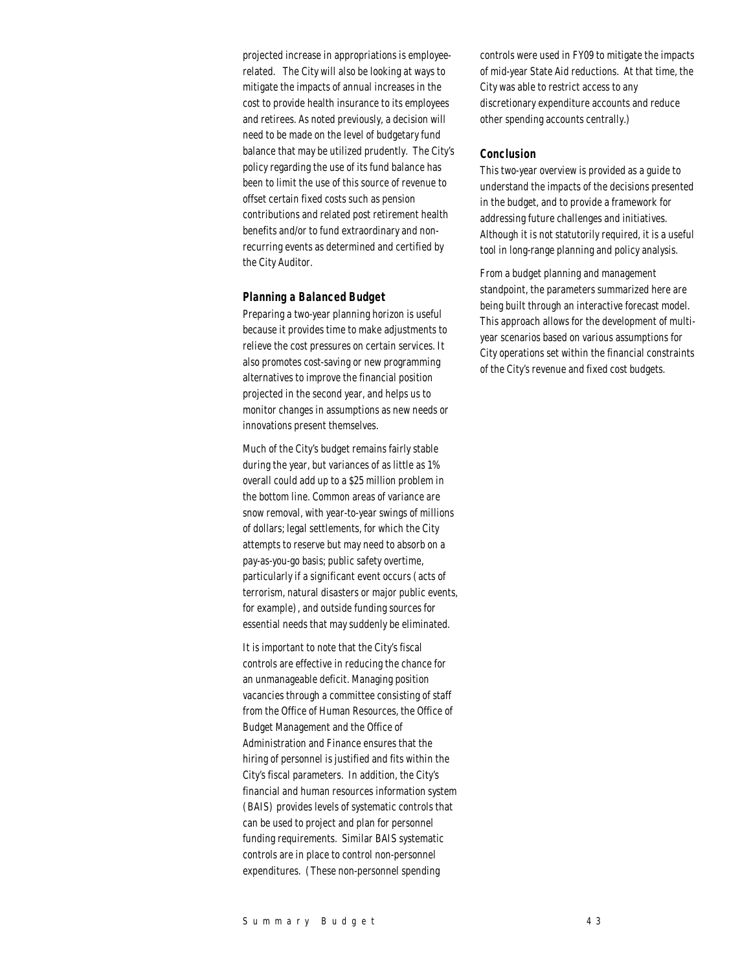projected increase in appropriations is employeerelated. The City will also be looking at ways to mitigate the impacts of annual increases in the cost to provide health insurance to its employees and retirees. As noted previously, a decision will need to be made on the level of budgetary fund balance that may be utilized prudently. The City's policy regarding the use of its fund balance has been to limit the use of this source of revenue to offset certain fixed costs such as pension contributions and related post retirement health benefits and/or to fund extraordinary and nonrecurring events as determined and certified by the City Auditor.

#### *Planning a Balanced Budget*

Preparing a two-year planning horizon is useful because it provides time to make adjustments to relieve the cost pressures on certain services. It also promotes cost-saving or new programming alternatives to improve the financial position projected in the second year, and helps us to monitor changes in assumptions as new needs or innovations present themselves.

Much of the City's budget remains fairly stable during the year, but variances of as little as 1% overall could add up to a \$25 million problem in the bottom line. Common areas of variance are snow removal, with year-to-year swings of millions of dollars; legal settlements, for which the City attempts to reserve but may need to absorb on a pay-as-you-go basis; public safety overtime, particularly if a significant event occurs (acts of terrorism, natural disasters or major public events, for example), and outside funding sources for essential needs that may suddenly be eliminated.

It is important to note that the City's fiscal controls are effective in reducing the chance for an unmanageable deficit. Managing position vacancies through a committee consisting of staff from the Office of Human Resources, the Office of Budget Management and the Office of Administration and Finance ensures that the hiring of personnel is justified and fits within the City's fiscal parameters. In addition, the City's financial and human resources information system (BAIS) provides levels of systematic controls that can be used to project and plan for personnel funding requirements. Similar BAIS systematic controls are in place to control non-personnel expenditures. (These non-personnel spending

controls were used in FY09 to mitigate the impacts of mid-year State Aid reductions. At that time, the City was able to restrict access to any discretionary expenditure accounts and reduce other spending accounts centrally.)

## *Conclusion*

This two-year overview is provided as a guide to understand the impacts of the decisions presented in the budget, and to provide a framework for addressing future challenges and initiatives. Although it is not statutorily required, it is a useful tool in long-range planning and policy analysis.

From a budget planning and management standpoint, the parameters summarized here are being built through an interactive forecast model. This approach allows for the development of multiyear scenarios based on various assumptions for City operations set within the financial constraints of the City's revenue and fixed cost budgets.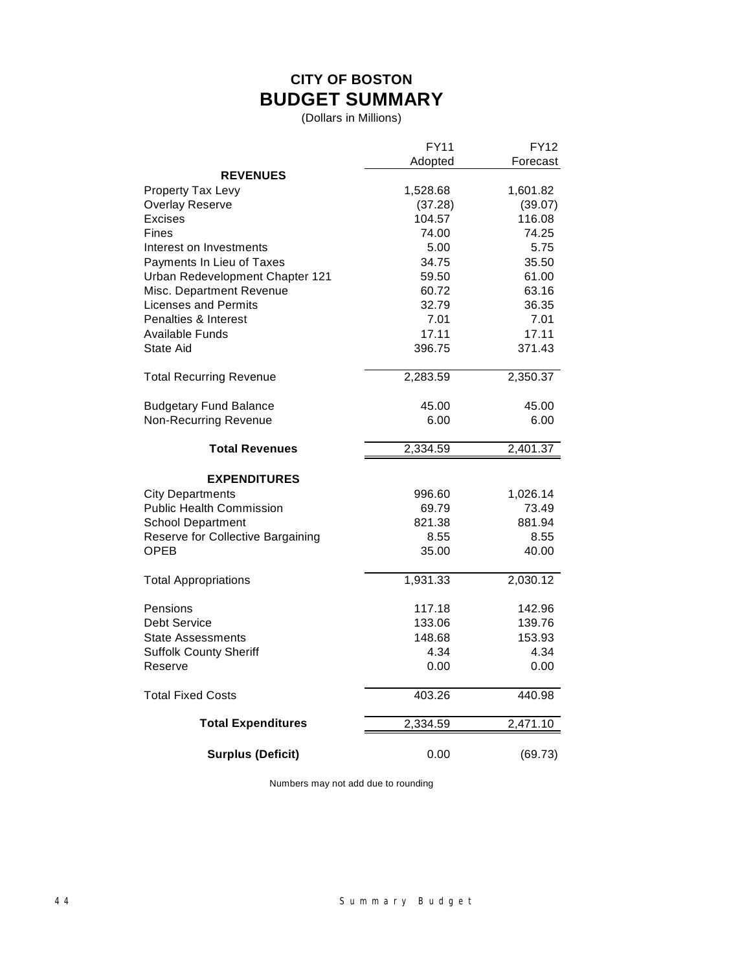# **CITY OF BOSTON BUDGET SUMMARY**

(Dollars in Millions)

|                                   | <b>FY11</b>             | FY12     |
|-----------------------------------|-------------------------|----------|
|                                   | Adopted                 | Forecast |
| <b>REVENUES</b>                   |                         |          |
| Property Tax Levy                 | 1,528.68                | 1,601.82 |
| <b>Overlay Reserve</b>            | (37.28)                 | (39.07)  |
| <b>Excises</b>                    | 104.57                  | 116.08   |
| Fines                             | 74.00                   | 74.25    |
| Interest on Investments           | 5.00                    | 5.75     |
| Payments In Lieu of Taxes         | 34.75                   | 35.50    |
| Urban Redevelopment Chapter 121   | 59.50                   | 61.00    |
| Misc. Department Revenue          | 60.72                   | 63.16    |
| <b>Licenses and Permits</b>       | 32.79                   | 36.35    |
| Penalties & Interest              | 7.01                    | 7.01     |
| Available Funds                   | 17.11                   | 17.11    |
| State Aid                         | 396.75                  | 371.43   |
| <b>Total Recurring Revenue</b>    | 2,283.59                | 2,350.37 |
| <b>Budgetary Fund Balance</b>     | 45.00                   | 45.00    |
| Non-Recurring Revenue             | 6.00                    | 6.00     |
| <b>Total Revenues</b>             | 2,334.59                | 2,401.37 |
| <b>EXPENDITURES</b>               |                         |          |
| <b>City Departments</b>           | 996.60                  | 1,026.14 |
| <b>Public Health Commission</b>   | 69.79                   | 73.49    |
| <b>School Department</b>          | 821.38                  | 881.94   |
| Reserve for Collective Bargaining | 8.55                    | 8.55     |
| OPEB                              | 35.00                   | 40.00    |
| <b>Total Appropriations</b>       | 1,931.33                | 2,030.12 |
|                                   |                         |          |
| Pensions                          | 117.18                  | 142.96   |
| <b>Debt Service</b>               | 133.06                  | 139.76   |
| State Assessments                 | 148.68                  | 153.93   |
| <b>Suffolk County Sheriff</b>     | 4.34                    | 4.34     |
| Reserve                           | 0.00                    | 0.00     |
| Total Fixed Costs                 | 403.26                  | 440.98   |
| <b>Total Expenditures</b>         | $\overline{2}$ , 334.59 | 2,471.10 |
| <b>Surplus (Deficit)</b>          | 0.00                    | (69.73)  |

Numbers may not add due to rounding